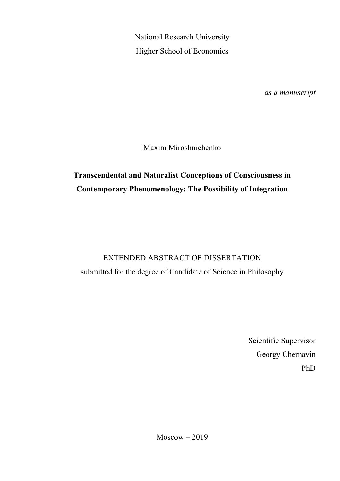National Research University Higher School of Economics

*as a manuscript*

Maxim Miroshnichenko

## **Transcendental and Naturalist Conceptions of Consciousness in Contemporary Phenomenology: The Possibility of Integration**

# EXTENDED ABSTRACT OF DISSERTATION submitted for the degree of Candidate of Science in Philosophy

Scientific Supervisor Georgy Chernavin PhD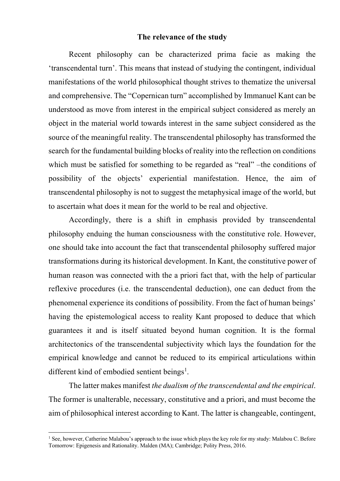### **The relevance of the study**

Recent philosophy can be characterized prima facie as making the 'transcendental turn'. This means that instead of studying the contingent, individual manifestations of the world philosophical thought strives to thematize the universal and comprehensive. The "Copernican turn" accomplished by Immanuel Kant can be understood as move from interest in the empirical subject considered as merely an object in the material world towards interest in the same subject considered as the source of the meaningful reality. The transcendental philosophy has transformed the search for the fundamental building blocks of reality into the reflection on conditions which must be satisfied for something to be regarded as "real" –the conditions of possibility of the objects' experiential manifestation. Hence, the aim of transcendental philosophy is not to suggest the metaphysical image of the world, but to ascertain what does it mean for the world to be real and objective.

Accordingly, there is a shift in emphasis provided by transcendental philosophy enduing the human consciousness with the constitutive role. However, one should take into account the fact that transcendental philosophy suffered major transformations during its historical development. In Kant, the constitutive power of human reason was connected with the a priori fact that, with the help of particular reflexive procedures (i.e. the transcendental deduction), one can deduct from the phenomenal experience its conditions of possibility. From the fact of human beings' having the epistemological access to reality Kant proposed to deduce that which guarantees it and is itself situated beyond human cognition. It is the formal architectonics of the transcendental subjectivity which lays the foundation for the empirical knowledge and cannot be reduced to its empirical articulations within different kind of embodied sentient beings<sup>1</sup>.

The latter makes manifest *the dualism of the transcendental and the empirical*. The former is unalterable, necessary, constitutive and a priori, and must become the aim of philosophical interest according to Kant. The latter is changeable, contingent,

<sup>&</sup>lt;sup>1</sup> See, however, Catherine Malabou's approach to the issue which plays the key role for my study: Malabou C. Before Tomorrow: Epigenesis and Rationality. Malden (MA); Cambridge; Polity Press, 2016.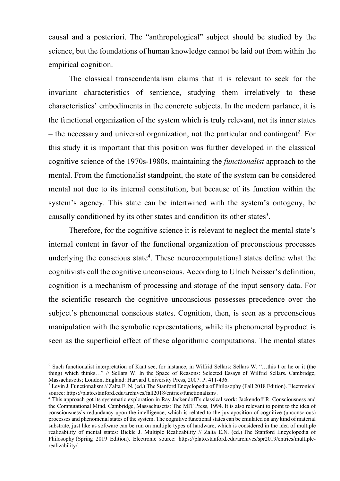causal and a posteriori. The "anthropological" subject should be studied by the science, but the foundations of human knowledge cannot be laid out from within the empirical cognition.

The classical transcendentalism claims that it is relevant to seek for the invariant characteristics of sentience, studying them irrelatively to these characteristics' embodiments in the concrete subjects. In the modern parlance, it is the functional organization of the system which is truly relevant, not its inner states  $-$  the necessary and universal organization, not the particular and contingent<sup>2</sup>. For this study it is important that this position was further developed in the classical cognitive science of the 1970s-1980s, maintaining the *functionalist* approach to the mental. From the functionalist standpoint, the state of the system can be considered mental not due to its internal constitution, but because of its function within the system's agency. This state can be intertwined with the system's ontogeny, be causally conditioned by its other states and condition its other states<sup>3</sup>.

Therefore, for the cognitive science it is relevant to neglect the mental state's internal content in favor of the functional organization of preconscious processes underlying the conscious state<sup>4</sup>. These neurocomputational states define what the cognitivists call the cognitive unconscious. According to Ulrich Neisser's definition, cognition is a mechanism of processing and storage of the input sensory data. For the scientific research the cognitive unconscious possesses precedence over the subject's phenomenal conscious states. Cognition, then, is seen as a preconscious manipulation with the symbolic representations, while its phenomenal byproduct is seen as the superficial effect of these algorithmic computations. The mental states

<sup>2</sup> Such functionalist interpretation of Kant see, for instance, in Wilfrid Sellars: Sellars W. "…this I or he or it (the thing) which thinks…" // Sellars W. In the Space of Reasons: Selected Essays of Wilfrid Sellars. Cambridge, Massachusetts; London, England: Harvard University Press, 2007. P. 411-436.

<sup>3</sup> Levin J. Functionalism // Zalta E. N. (ed.) The Stanford Encyclopedia of Philosophy (Fall 2018 Edition). Electronical source: https://plato.stanford.edu/archives/fall2018/entries/functionalism/.

<sup>4</sup> This approach got its systematic exploration in Ray Jackendoff's classical work: Jackendoff R. Consciousness and the Computational Mind. Cambridge, Massachusetts: The MIT Press, 1994. It is also relevant to point to the idea of consciousness's redundancy upon the intelligence, which is related to the juxtaposition of cognitive (unconscious) processes and phenomenal states of the system. The cognitive functional states can be emulated on any kind of material substrate, just like as software can be run on multiple types of hardware, which is considered in the idea of multiple realizability of mental states: Bickle J. Multiple Realizability // Zalta E.N. (ed.) The Stanford Encyclopedia of Philosophy (Spring 2019 Edition). Electronic source: https://plato.stanford.edu/archives/spr2019/entries/multiplerealizability/.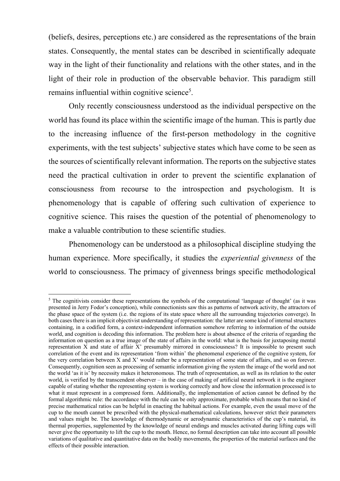(beliefs, desires, perceptions etc.) are considered as the representations of the brain states. Consequently, the mental states can be described in scientifically adequate way in the light of their functionality and relations with the other states, and in the light of their role in production of the observable behavior. This paradigm still remains influential within cognitive science<sup>5</sup>.

Only recently consciousness understood as the individual perspective on the world has found its place within the scientific image of the human. This is partly due to the increasing influence of the first-person methodology in the cognitive experiments, with the test subjects' subjective states which have come to be seen as the sources of scientifically relevant information. The reports on the subjective states need the practical cultivation in order to prevent the scientific explanation of consciousness from recourse to the introspection and psychologism. It is phenomenology that is capable of offering such cultivation of experience to cognitive science. This raises the question of the potential of phenomenology to make a valuable contribution to these scientific studies.

Phenomenology can be understood as a philosophical discipline studying the human experience. More specifically, it studies the *experiential givenness* of the world to consciousness. The primacy of givenness brings specific methodological

<sup>&</sup>lt;sup>5</sup> The cognitivists consider these representations the symbols of the computational 'language of thought' (as it was presented in Jerry Fodor's conception), while connectionists saw this as patterns of network activity, the attractors of the phase space of the system (i.e. the regions of its state space where all the surrounding trajectories converge). In both cases there is an implicit objectivist understanding of representation: the latter are some kind of internal structures containing, in a codified form, a context-independent information somehow referring to information of the outside world, and cognition is decoding this information. The problem here is about absence of the criteria of regarding the information on question as a true image of the state of affairs in the world: what is the basis for juxtaposing mental representation X and state of affair X' presumably mirrored in consciousness? It is impossible to present such correlation of the event and its representation 'from within' the phenomenal experience of the cognitive system, for the very correlation between X and X' would rather be a representation of some state of affairs, and so on forever. Consequently, cognition seen as processing of semantic information giving the system the image of the world and not the world 'as it is' by necessity makes it heteronomous. The truth of representation, as well as its relation to the outer world, is verified by the transcendent observer – in the case of making of artificial neural network it is the engineer capable of stating whether the representing system is working correctly and how close the information processed is to what it must represent in a compressed form. Additionally, the implementation of action cannot be defined by the formal algorithmic rule: the accordance with the rule can be only approximate, probable which means that no kind of precise mathematical ratios can be helpful in enacting the habitual actions. For example, even the usual move of the cup to the mouth cannot be prescribed with the physical-mathematical calculations, however strict their parameters and values might be. The knowledge of thermodynamic or aerodynamic characteristics of the cup's material, its thermal properties, supplemented by the knowledge of neural endings and muscles activated during lifting cups will never give the opportunity to lift the cup to the mouth. Hence, no formal description can take into account all possible variations of qualitative and quantitative data on the bodily movements, the properties of the material surfaces and the effects of their possible interaction.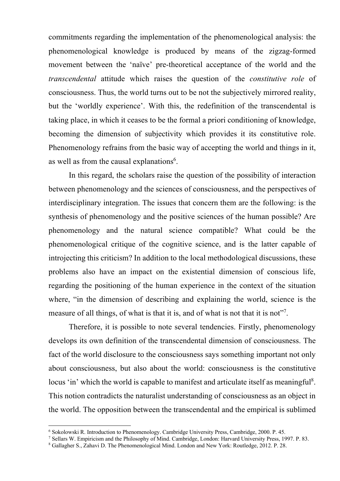commitments regarding the implementation of the phenomenological analysis: the phenomenological knowledge is produced by means of the zigzag-formed movement between the 'naïve' pre-theoretical acceptance of the world and the *transcendental* attitude which raises the question of the *constitutive role* of consciousness. Thus, the world turns out to be not the subjectively mirrored reality, but the 'worldly experience'. With this, the redefinition of the transcendental is taking place, in which it ceases to be the formal a priori conditioning of knowledge, becoming the dimension of subjectivity which provides it its constitutive role. Phenomenology refrains from the basic way of accepting the world and things in it, as well as from the causal explanations<sup>6</sup>.

In this regard, the scholars raise the question of the possibility of interaction between phenomenology and the sciences of consciousness, and the perspectives of interdisciplinary integration. The issues that concern them are the following: is the synthesis of phenomenology and the positive sciences of the human possible? Are phenomenology and the natural science compatible? What could be the phenomenological critique of the cognitive science, and is the latter capable of introjecting this criticism? In addition to the local methodological discussions, these problems also have an impact on the existential dimension of conscious life, regarding the positioning of the human experience in the context of the situation where, "in the dimension of describing and explaining the world, science is the measure of all things, of what is that it is, and of what is not that it is not"?.

Therefore, it is possible to note several tendencies. Firstly, phenomenology develops its own definition of the transcendental dimension of consciousness. The fact of the world disclosure to the consciousness says something important not only about consciousness, but also about the world: consciousness is the constitutive locus 'in' which the world is capable to manifest and articulate itself as meaningful<sup>8</sup>. This notion contradicts the naturalist understanding of consciousness as an object in the world. The opposition between the transcendental and the empirical is sublimed

<sup>6</sup> Sokolowski R. Introduction to Phenomenology. Cambridge University Press, Cambridge, 2000. P. 45.

<sup>7</sup> Sellars W. Empiricism and the Philosophy of Mind. Cambridge, London: Harvard University Press, 1997. P. 83.

<sup>8</sup> Gallagher S., Zahavi D. The Phenomenological Mind. London and New York: Routledge, 2012. P. 28.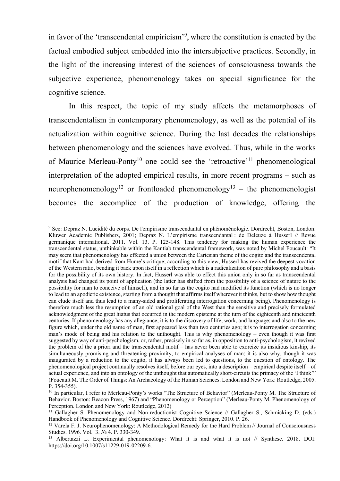in favor of the 'transcendental empiricism'9 , where the constitution is enacted by the factual embodied subject embedded into the intersubjective practices. Secondly, in the light of the increasing interest of the sciences of consciousness towards the subjective experience, phenomenology takes on special significance for the cognitive science.

In this respect, the topic of my study affects the metamorphoses of transcendentalism in contemporary phenomenology, as well as the potential of its actualization within cognitive science. During the last decades the relationships between phenomenology and the sciences have evolved. Thus, while in the works of Maurice Merleau-Ponty<sup>10</sup> one could see the 'retroactive'<sup>11</sup> phenomenological interpretation of the adopted empirical results, in more recent programs – such as neurophenomenology<sup>12</sup> or frontloaded phenomenology<sup>13</sup> – the phenomenologist becomes the accomplice of the production of knowledge, offering the

<sup>9</sup> See: Depraz N. Lucidité du corps. De l'empirisme transcendantal en phénoménologie. Dordrecht, Boston, London: Kluwer Academic Publishers, 2001; Depraz N. L'empirisme transcendantal : de Deleuze à Husserl // Revue germanique international. 2011. Vol. 13. P. 125-148. This tendency for making the human experience the transcendental status, unthinkable within the Kantiab transcendental framework, was noted by Michel Foucault: "It may seem that phenomenology has effected a union between the Cartesian theme of the cogito and the transcendental motif that Kant had derived from Hume's critique; according to this view, Husserl has revived the deepest vocation of the Western ratio, bending it back upon itself in a reflection which is a radicalization of pure philosophy and a basis for the possibility of its own history. In fact, Husserl was able to effect this union only in so far as transcendental analysis had changed its point of application (the latter has shifted from the possibility of a science of nature to the possibility for man to conceive of himself), and in so far as the cogito had modified its function (which is no longer to lead to an apodictic existence, starting from a thought that affirms itself wherever it thinks, but to show how thought can elude itself and thus lead to a many-sided and proliferating interrogation concerning being). Phenomenology is therefore much less the resumption of an old rational goal of the West than the sensitive and precisely formulated acknowledgment of the great hiatus that occurred in the modern episteme at the turn of the eighteenth and nineteenth centuries. If phenomenology has any allegiance, it is to the discovery of life, work, and language; and also to the new figure which, under the old name of man, first appeared less than two centuries ago; it is to interrogation concerning man's mode of being and his relation to the unthought. This is why phenomenology – even though it was first suggested by way of anti-psychologism, or, rather, precisely in so far as, in opposition to anti-psychologism, it revived the problem of the a priori and the transcendental motif – has never been able to exorcize its insidious kinship, its simultaneously promising and threatening proximity, to empirical analyses of man; it is also why, though it was inaugurated by a reduction to the cogito, it has always been led to questions, to the question of ontology. The phenomenological project continually resolves itself, before our eyes, into a description – empirical despite itself – of actual experience, and into an ontology of the unthought that automatically short-circuits the primacy of the 'I think'" (Foucault M. The Order of Things: An Archaeology of the Human Sciences. London and New York: Routledge, 2005. P. 354-355).

<sup>&</sup>lt;sup>10</sup> In particular, I refer to Merleau-Ponty's works "The Structure of Behavior" (Merleau-Ponty M. The Structure of Behavior. Boston: Beacon Press, 1967) and "Phenomenology or Perception" (Merleau-Ponty M. Phenomenology of Perception. London and New York: Routledge, 2012)

<sup>&</sup>lt;sup>11</sup> Gallagher S. Phenomenology and Non-reductionist Cognitive Science // Gallagher S., Schmicking D. (eds.) Handbook of Phenomenology and Cognitive Science. Dordrecht: Springer, 2010. P. 26.

 $12$  Varela F. J. Neurophenomenology: A Methodological Remedy for the Hard Problem  $//$  Journal of Consciousness Studies. 1996. Vol. 3. № 4. P. 330-349.

<sup>&</sup>lt;sup>13</sup> Albertazzi L. Experimental phenomenology: What it is and what it is not // Synthese. 2018. DOI: https://doi.org/10.1007/s11229-019-02209-6.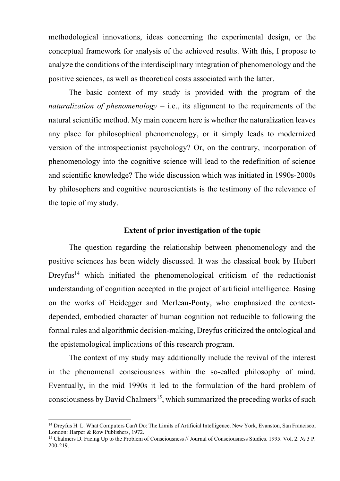methodological innovations, ideas concerning the experimental design, or the conceptual framework for analysis of the achieved results. With this, I propose to analyze the conditions of the interdisciplinary integration of phenomenology and the positive sciences, as well as theoretical costs associated with the latter.

The basic context of my study is provided with the program of the *naturalization of phenomenology* – i.e., its alignment to the requirements of the natural scientific method. My main concern here is whether the naturalization leaves any place for philosophical phenomenology, or it simply leads to modernized version of the introspectionist psychology? Or, on the contrary, incorporation of phenomenology into the cognitive science will lead to the redefinition of science and scientific knowledge? The wide discussion which was initiated in 1990s-2000s by philosophers and cognitive neuroscientists is the testimony of the relevance of the topic of my study.

### **Extent of prior investigation of the topic**

The question regarding the relationship between phenomenology and the positive sciences has been widely discussed. It was the classical book by Hubert Dreyfus<sup>14</sup> which initiated the phenomenological criticism of the reductionist understanding of cognition accepted in the project of artificial intelligence. Basing on the works of Heidegger and Merleau-Ponty, who emphasized the contextdepended, embodied character of human cognition not reducible to following the formal rules and algorithmic decision-making, Dreyfus criticized the ontological and the epistemological implications of this research program.

The context of my study may additionally include the revival of the interest in the phenomenal consciousness within the so-called philosophy of mind. Eventually, in the mid 1990s it led to the formulation of the hard problem of consciousness by David Chalmers<sup>15</sup>, which summarized the preceding works of such

<sup>&</sup>lt;sup>14</sup> Dreyfus H. L. What Computers Can't Do: The Limits of Artificial Intelligence. New York, Evanston, San Francisco, London: Harper & Row Publishers, 1972.

<sup>15</sup> Chalmers D. Facing Up to the Problem of Consciousness // Journal of Consciousness Studies. 1995. Vol. 2. № 3 P. 200-219.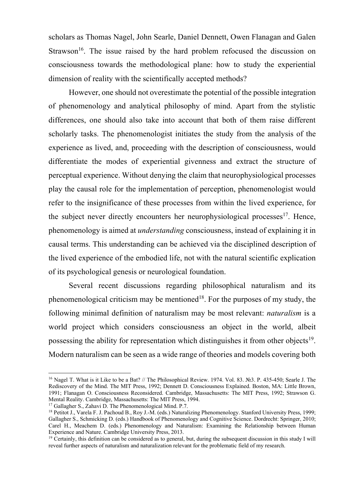scholars as Thomas Nagel, John Searle, Daniel Dennett, Owen Flanagan and Galen Strawson<sup>16</sup>. The issue raised by the hard problem refocused the discussion on consciousness towards the methodological plane: how to study the experiential dimension of reality with the scientifically accepted methods?

However, one should not overestimate the potential of the possible integration of phenomenology and analytical philosophy of mind. Apart from the stylistic differences, one should also take into account that both of them raise different scholarly tasks. The phenomenologist initiates the study from the analysis of the experience as lived, and, proceeding with the description of consciousness, would differentiate the modes of experiential givenness and extract the structure of perceptual experience. Without denying the claim that neurophysiological processes play the causal role for the implementation of perception, phenomenologist would refer to the insignificance of these processes from within the lived experience, for the subject never directly encounters her neurophysiological processes<sup>17</sup>. Hence, phenomenology is aimed at *understanding* consciousness, instead of explaining it in causal terms. This understanding can be achieved via the disciplined description of the lived experience of the embodied life, not with the natural scientific explication of its psychological genesis or neurological foundation.

Several recent discussions regarding philosophical naturalism and its phenomenological criticism may be mentioned<sup>18</sup>. For the purposes of my study, the following minimal definition of naturalism may be most relevant: *naturalism* is a world project which considers consciousness an object in the world, albeit possessing the ability for representation which distinguishes it from other objects<sup>19</sup>. Modern naturalism can be seen as a wide range of theories and models covering both

<sup>&</sup>lt;sup>16</sup> Nagel T. What is it Like to be a Bat? // The Philosophical Review. 1974. Vol. 83. №3. P. 435-450; Searle J. The Rediscovery of the Mind. The MIT Press, 1992; Dennett D. Consciousness Explained. Boston, MA: Little Brown, 1991; Flanagan O. Consciousness Reconsidered. Cambridge, Massachusetts: The MIT Press, 1992; Strawson G. Mental Reality. Cambridge, Massachusetts: The MIT Press, 1994.

<sup>&</sup>lt;sup>17</sup> Gallagher S., Zahavi D. The Phenomenological Mind. P.7.

<sup>&</sup>lt;sup>18</sup> Petitot J., Varela F. J. Pachoud B., Roy J.-M. (eds.) Naturalizing Phenomenology. Stanford University Press, 1999; Gallagher S., Schmicking D. (eds.) Handbook of Phenomenology and Cognitive Science. Dordrecht: Springer, 2010; Carel H., Meachem D. (eds.) Phenomenology and Naturalism: Examining the Relationship between Human Experience and Nature. Cambridge University Press, 2013.

 $19$  Certainly, this definition can be considered as to general, but, during the subsequent discussion in this study I will reveal further aspects of naturalism and naturalization relevant for the problematic field of my research.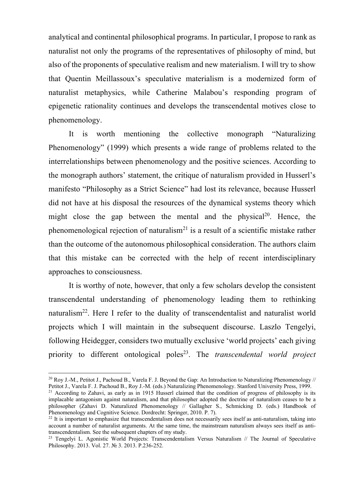analytical and continental philosophical programs. In particular, I propose to rank as naturalist not only the programs of the representatives of philosophy of mind, but also of the proponents of speculative realism and new materialism. I will try to show that Quentin Meillassoux's speculative materialism is a modernized form of naturalist metaphysics, while Catherine Malabou's responding program of epigenetic rationality continues and develops the transcendental motives close to phenomenology.

It is worth mentioning the collective monograph "Naturalizing Phenomenology" (1999) which presents a wide range of problems related to the interrelationships between phenomenology and the positive sciences. According to the monograph authors' statement, the critique of naturalism provided in Husserl's manifesto "Philosophy as a Strict Science" had lost its relevance, because Husserl did not have at his disposal the resources of the dynamical systems theory which might close the gap between the mental and the physical<sup>20</sup>. Hence, the phenomenological rejection of naturalism<sup>21</sup> is a result of a scientific mistake rather than the outcome of the autonomous philosophical consideration. The authors claim that this mistake can be corrected with the help of recent interdisciplinary approaches to consciousness.

It is worthy of note, however, that only a few scholars develop the consistent transcendental understanding of phenomenology leading them to rethinking naturalism22. Here I refer to the duality of transcendentalist and naturalist world projects which I will maintain in the subsequent discourse. Laszlo Tengelyi, following Heidegger, considers two mutually exclusive 'world projects' each giving priority to different ontological poles<sup>23</sup>. The *transcendental world project* 

<sup>20</sup> Roy J.-M., Petitot J., Pachoud B., Varela F. J. Beyond the Gap: An Introduction to Naturalizing Phenomenology // Petitot J., Varela F. J. Pachoud B., Roy J.-M. (eds.) Naturalizing Phenomenology. Stanford University Press, 1999.

 $21$  According to Zahavi, as early as in 1915 Husserl claimed that the condition of progress of philosophy is its implacable antagonism against naturalism, and that philosopher adopted the doctrine of naturalism ceases to be a philosopher (Zahavi D. Naturalized Phenomenology // Gallagher S., Schmicking D. (eds.) Handbook of Phenomenology and Cognitive Science. Dordrecht: Springer, 2010. P. 7).

 $22$  It is important to emphasize that transcendentalism does not necessarily sees itself as anti-naturalism, taking into account a number of naturalist arguments. At the same time, the mainstream naturalism always sees itself as antitranscendentalism. See the subsequent chapters of my study.

<sup>&</sup>lt;sup>23</sup> Tengelyi L. Agonistic World Projects: Transcendentalism Versus Naturalism // The Journal of Speculative Philosophy. 2013. Vol. 27. № 3. 2013. P.236-252.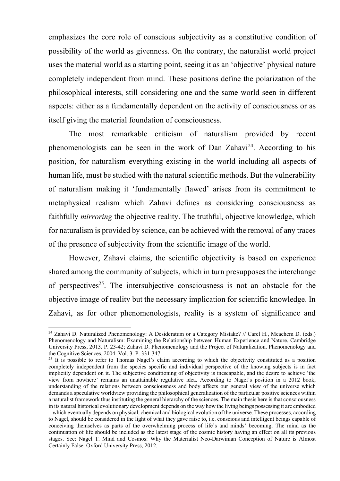emphasizes the core role of conscious subjectivity as a constitutive condition of possibility of the world as givenness. On the contrary, the naturalist world project uses the material world as a starting point, seeing it as an 'objective' physical nature completely independent from mind. These positions define the polarization of the philosophical interests, still considering one and the same world seen in different aspects: either as a fundamentally dependent on the activity of consciousness or as itself giving the material foundation of consciousness.

The most remarkable criticism of naturalism provided by recent phenomenologists can be seen in the work of Dan Zahavi<sup>24</sup>. According to his position, for naturalism everything existing in the world including all aspects of human life, must be studied with the natural scientific methods. But the vulnerability of naturalism making it 'fundamentally flawed' arises from its commitment to metaphysical realism which Zahavi defines as considering consciousness as faithfully *mirroring* the objective reality. The truthful, objective knowledge, which for naturalism is provided by science, can be achieved with the removal of any traces of the presence of subjectivity from the scientific image of the world.

However, Zahavi claims, the scientific objectivity is based on experience shared among the community of subjects, which in turn presupposes the interchange of perspectives<sup>25</sup>. The intersubjective consciousness is not an obstacle for the objective image of reality but the necessary implication for scientific knowledge. In Zahavi, as for other phenomenologists, reality is a system of significance and

<sup>&</sup>lt;sup>24</sup> Zahavi D. Naturalized Phenomenology: A Desideratum or a Category Mistake? // Carel H., Meachem D. (eds.) Phenomenology and Naturalism: Examining the Relationship between Human Experience and Nature. Cambridge University Press, 2013. P. 23-42; Zahavi D. Phenomenology and the Project of Naturalization. Phenomenology and the Cognitive Sciences. 2004. Vol. 3. P. 331-347.

<sup>&</sup>lt;sup>25</sup> It is possible to refer to Thomas Nagel's claim according to which the objectivity constituted as a position completely independent from the species specific and individual perspective of the knowing subjects is in fact implicitly dependent on it. The subjective conditioning of objectivity is inescapable, and the desire to achieve 'the view from nowhere' remains an unattainable regulative idea. According to Nagel's position in a 2012 book, understanding of the relations between consciousness and body affects our general view of the universe which demands a speculative worldview providing the philosophical generalization of the particular positive sciences within a naturalist framework thus instituting the general hierarchy of the sciences. The main thesis here is that consciousness in its natural historical evolutionary development depends on the way how the living beings possessing it are embodied – which eventually depends on physical, chemical and biological evolution of the universe. These processes, according to Nagel, should be considered in the light of what they gave raise to, i.e. conscious and intelligent beings capable of conceiving themselves as parts of the overwhelming process of life's and minds' becoming. The mind as the continuation of life should be included as the latest stage of the cosmic history having an effect on all its previous stages. See: Nagel T. Mind and Cosmos: Why the Materialist Neo-Darwinian Conception of Nature is Almost Certainly False. Oxford University Press, 2012.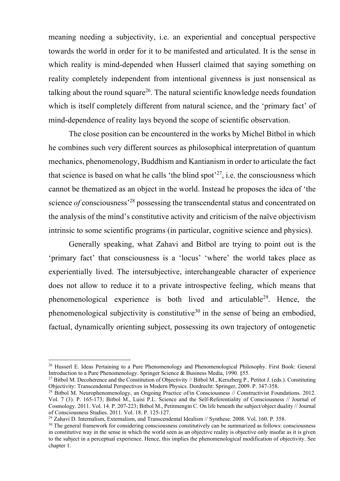meaning needing a subjectivity, i.e. an experiential and conceptual perspective towards the world in order for it to be manifested and articulated. It is the sense in which reality is mind-depended when Husserl claimed that saying something on reality completely independent from intentional givenness is just nonsensical as talking about the round square<sup>26</sup>. The natural scientific knowledge needs foundation which is itself completely different from natural science, and the 'primary fact' of mind-dependence of reality lays beyond the scope of scientific observation.

The close position can be encountered in the works by Michel Bitbol in which he combines such very different sources as philosophical interpretation of quantum mechanics, phenomenology, Buddhism and Kantianism in order to articulate the fact that science is based on what he calls 'the blind spot'<sup>27</sup>, i.e. the consciousness which cannot be thematized as an object in the world. Instead he proposes the idea of 'the science *of* consciousness<sup>, 28</sup> possessing the transcendental status and concentrated on the analysis of the mind's constitutive activity and criticism of the naïve objectivism intrinsic to some scientific programs (in particular, cognitive science and physics).

Generally speaking, what Zahavi and Bitbol are trying to point out is the 'primary fact' that consciousness is a 'locus' 'where' the world takes place as experientially lived. The intersubjective, interchangeable character of experience does not allow to reduce it to a private introspective feeling, which means that phenomenological experience is both lived and articulable<sup>29</sup>. Hence, the phenomenological subjectivity is constitutive<sup>30</sup> in the sense of being an embodied, factual, dynamically orienting subject, possessing its own trajectory of ontogenetic

<sup>&</sup>lt;sup>26</sup> Husserl E. Ideas Pertaining to a Pure Phenomenology and Phenomenological Philosophy. First Book: General Introduction to a Pure Phenomenology. Springer Science & Business Media, 1990. §55.<br><sup>27</sup> Bitbol M. Decoherence and the Constitution of Objectivity // Bitbol M., Kerszberg P., Petitot J. (eds.). Constituting

Objectivity: Transcendental Perspectives in Modern Physics. Dordrecht: Springer, 2009. P. 347-358.

<sup>&</sup>lt;sup>28</sup> Bitbol M. Neurophenomenology, an Ongoing Practice of/in Consciousness // Constructivist Foundations. 2012. Vol. 7 (3). P. 165-173; Bitbol M., Luisi P.L. Science and the Self-Referentiality of Consciousness // Journal of Cosmology. 2011. Vol. 14. P. 207-223; Bitbol M., Petitmengin C. On life beneath the subject/object duality // Journal of Consciousness Studies. 2011. Vol. 18. P. 125-127.

 $^{29}$  Zahavi D. Internalism, Externalism, and Transcendental Idealism // Synthese. 2008. Vol. 160. P. 358.

<sup>&</sup>lt;sup>30</sup> The general framework for considering consciousness constitutively can be summarized as follows: consciousness in constitutive way in the sense in which the world seen as an objective reality is objective only insofar as it is given to the subject in a perceptual experience. Hence, this implies the phenomenological modification of objectivity. See chapter 1.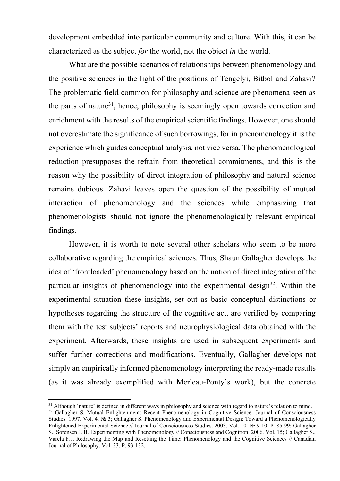development embedded into particular community and culture. With this, it can be characterized as the subject *for* the world, not the object *in* the world.

What are the possible scenarios of relationships between phenomenology and the positive sciences in the light of the positions of Tengelyi, Bitbol and Zahavi? The problematic field common for philosophy and science are phenomena seen as the parts of nature<sup>31</sup>, hence, philosophy is seemingly open towards correction and enrichment with the results of the empirical scientific findings. However, one should not overestimate the significance of such borrowings, for in phenomenology it is the experience which guides conceptual analysis, not vice versa. The phenomenological reduction presupposes the refrain from theoretical commitments, and this is the reason why the possibility of direct integration of philosophy and natural science remains dubious. Zahavi leaves open the question of the possibility of mutual interaction of phenomenology and the sciences while emphasizing that phenomenologists should not ignore the phenomenologically relevant empirical findings.

However, it is worth to note several other scholars who seem to be more collaborative regarding the empirical sciences. Thus, Shaun Gallagher develops the idea of 'frontloaded' phenomenology based on the notion of direct integration of the particular insights of phenomenology into the experimental design<sup>32</sup>. Within the experimental situation these insights, set out as basic conceptual distinctions or hypotheses regarding the structure of the cognitive act, are verified by comparing them with the test subjects' reports and neurophysiological data obtained with the experiment. Afterwards, these insights are used in subsequent experiments and suffer further corrections and modifications. Eventually, Gallagher develops not simply an empirically informed phenomenology interpreting the ready-made results (as it was already exemplified with Merleau-Ponty's work), but the concrete

<sup>&</sup>lt;sup>31</sup> Although 'nature' is defined in different ways in philosophy and science with regard to nature's relation to mind. <sup>32</sup> Gallagher S. Mutual Enlightenment: Recent Phenomenology in Cognitive Science. Journal of Consciousness Studies. 1997. Vol. 4. № 3; Gallagher S. Phenomenology and Experimental Design: Toward a Phenomenologically Enlightened Experimental Science // Journal of Consciousness Studies. 2003. Vol. 10. № 9-10. P. 85-99; Gallagher S., Sørensen J. B. Experimenting with Phenomenology // Consciousness and Cognition. 2006. Vol. 15; Gallagher S., Varela F.J. Redrawing the Map and Resetting the Time: Phenomenology and the Cognitive Sciences // Canadian Journal of Philosophy. Vol. 33. P. 93-132.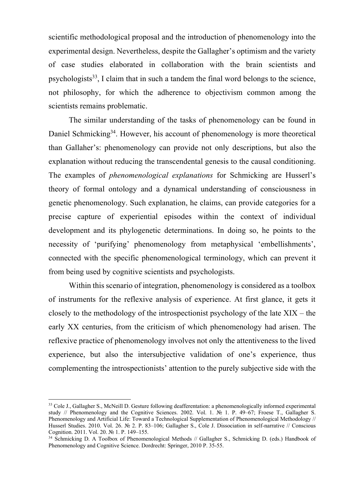scientific methodological proposal and the introduction of phenomenology into the experimental design. Nevertheless, despite the Gallagher's optimism and the variety of case studies elaborated in collaboration with the brain scientists and psychologists $33$ , I claim that in such a tandem the final word belongs to the science, not philosophy, for which the adherence to objectivism common among the scientists remains problematic.

The similar understanding of the tasks of phenomenology can be found in Daniel Schmicking<sup>34</sup>. However, his account of phenomenology is more theoretical than Gallaher's: phenomenology can provide not only descriptions, but also the explanation without reducing the transcendental genesis to the causal conditioning. The examples of *phenomenological explanations* for Schmicking are Husserl's theory of formal ontology and a dynamical understanding of consciousness in genetic phenomenology. Such explanation, he claims, can provide categories for a precise capture of experiential episodes within the context of individual development and its phylogenetic determinations. In doing so, he points to the necessity of 'purifying' phenomenology from metaphysical 'embellishments', connected with the specific phenomenological terminology, which can prevent it from being used by cognitive scientists and psychologists.

Within this scenario of integration, phenomenology is considered as a toolbox of instruments for the reflexive analysis of experience. At first glance, it gets it closely to the methodology of the introspectionist psychology of the late XIX – the early XX centuries, from the criticism of which phenomenology had arisen. The reflexive practice of phenomenology involves not only the attentiveness to the lived experience, but also the intersubjective validation of one's experience, thus complementing the introspectionists' attention to the purely subjective side with the

<sup>&</sup>lt;sup>33</sup> Cole J., Gallagher S., McNeill D. Gesture following deafferentation: a phenomenologically informed experimental study // Phenomenology and the Cognitive Sciences. 2002. Vol. 1. № 1. P. 49–67; Froese T., Gallagher S. Phenomenology and Artificial Life: Toward a Technological Supplementation of Phenomenological Methodology // Husserl Studies. 2010. Vol. 26. № 2. P. 83–106; Gallagher S., Cole J. Dissociation in self-narrative // Conscious Cognition. 2011. Vol. 20. № 1. P. 149–155.

<sup>&</sup>lt;sup>34</sup> Schmicking D. A Toolbox of Phenomenological Methods // Gallagher S., Schmicking D. (eds.) Handbook of Phenomenology and Cognitive Science. Dordrecht: Springer, 2010 P. 35-55.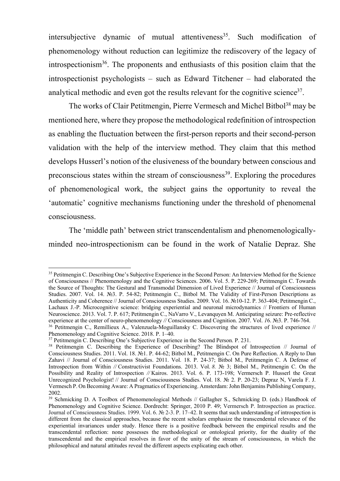intersubjective dynamic of mutual attentiveness<sup>35</sup>. Such modification of phenomenology without reduction can legitimize the rediscovery of the legacy of introspectionism36. The proponents and enthusiasts of this position claim that the introspectionist psychologists – such as Edward Titchener – had elaborated the analytical methodic and even got the results relevant for the cognitive science<sup>37</sup>.

The works of Clair Petitmengin, Pierre Vermesch and Michel Bitbol<sup>38</sup> may be mentioned here, where they propose the methodological redefinition of introspection as enabling the fluctuation between the first-person reports and their second-person validation with the help of the interview method. They claim that this method develops Husserl's notion of the elusiveness of the boundary between conscious and preconscious states within the stream of consciousness<sup>39</sup>. Exploring the procedures of phenomenological work, the subject gains the opportunity to reveal the 'automatic' cognitive mechanisms functioning under the threshold of phenomenal consciousness.

The 'middle path' between strict transcendentalism and phenomenologicallyminded neo-introspectionism can be found in the work of Natalie Depraz. She

<sup>&</sup>lt;sup>35</sup> Petitmengin C. Describing One's Subjective Experience in the Second Person: An Interview Method for the Science of Consciousness // Phenomenology and the Cognitive Sciences. 2006. Vol. 5. P. 229-269; Petitmengin C. Towards the Source of Thoughts: The Gestural and Transmodal Dimension of Lived Experience // Journal of Consciousness Studies. 2007. Vol. 14. №3. P. 54-82; Petitmengin C., Bitbol M. The Validity of First-Person Descriptions as Authenticity and Coherence // Journal of Consciousness Studies. 2009. Vol. 16. №10-12. P. 363-404; Petitmengin C., Lachaux J.-P. Microcognitive science: bridging experiential and neuronal microdynamics // Frontiers of Human Neuroscience. 2013. Vol. 7. P. 617; Petitmengin C., NaVarro V., Levanquyen M. Anticipating seizure: Pre-reflective experience at the center of neuro-phenomenology // Consciousness and Cognition. 2007. Vol. 16. №3. P. 746-764.<br><sup>36</sup> Petitmengin C., Remillieux A., Valenzuela-Moguillansky C. Discovering the structures of lived experience Phenomenology and Cognitive Science. 2018. P. 1–40.

<sup>&</sup>lt;sup>37</sup> Petitmengin C. Describing One's Subjective Experience in the Second Person. P. 231.

<sup>&</sup>lt;sup>38</sup> Petitmengin C. Describing the Experience of Describing? The Blindspot of Introspection // Journal of Consciousness Studies. 2011. Vol. 18. №1. P. 44-62; Bitbol M., Petitmengin C. On Pure Reflection. A Reply to Dan Zahavi // Journal of Consciousness Studies. 2011. Vol. 18. P. 24-37; Bitbol M., Petitmengin C. A Defense of Introspection from Within *//* Constructivist Foundations. 2013. Vol. *8.* № 3; Bitbol M., Petitmengin C. On the Possibility and Reality of Introspection *//* Kairos. 2013. Vol. 6. P. 173-198; Vermersch P. Husserl the Great Unrecognized Psychologist! // Journal of Consciousness Studies. Vol. 18. № 2. P. 20-23; Depraz N, Varela F. J. Vermesch P. On Becoming Aware: A Pragmatics of Experiencing. Amsterdam: John Benjamins Publishing Company, 2002.

<sup>&</sup>lt;sup>39</sup> Schmicking D. A Toolbox of Phenomenological Methods // Gallagher S., Schmicking D. (eds.) Handbook of Phenomenology and Cognitive Science. Dordrecht: Springer, 2010 P. 49; Vermersch P. Introspection as practice. Journal of Consciousness Studies. 1999. Vol. 6. № 2-3. P. 17–42. It seems that such understanding of introspection is different from the classical approaches, because the recent scholars emphasize the transcendental relevance of the experiential invariances under study. Hence there is a positive feedback between the empirical results and the transcendental reflection: none possesses the methodological or ontological priority, for the duality of the transcendental and the empirical resolves in favor of the unity of the stream of consciousness, in which the philosophical and natural attitudes reveal the different aspects explicating each other.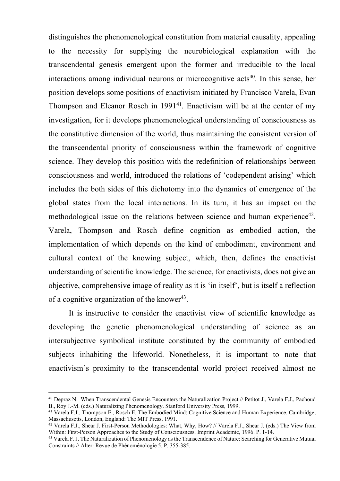distinguishes the phenomenological constitution from material causality, appealing to the necessity for supplying the neurobiological explanation with the transcendental genesis emergent upon the former and irreducible to the local interactions among individual neurons or microcognitive acts<sup>40</sup>. In this sense, her position develops some positions of enactivism initiated by Francisco Varela, Evan Thompson and Eleanor Rosch in  $1991^{41}$ . Enactivism will be at the center of my investigation, for it develops phenomenological understanding of consciousness as the constitutive dimension of the world, thus maintaining the consistent version of the transcendental priority of consciousness within the framework of cognitive science. They develop this position with the redefinition of relationships between consciousness and world, introduced the relations of 'codependent arising' which includes the both sides of this dichotomy into the dynamics of emergence of the global states from the local interactions. In its turn, it has an impact on the methodological issue on the relations between science and human experience<sup>42</sup>. Varela, Thompson and Rosch define cognition as embodied action, the implementation of which depends on the kind of embodiment, environment and cultural context of the knowing subject, which, then, defines the enactivist understanding of scientific knowledge. The science, for enactivists, does not give an objective, comprehensive image of reality as it is 'in itself', but is itself a reflection of a cognitive organization of the knower<sup>43</sup>.

It is instructive to consider the enactivist view of scientific knowledge as developing the genetic phenomenological understanding of science as an intersubjective symbolical institute constituted by the community of embodied subjects inhabiting the lifeworld. Nonetheless, it is important to note that enactivism's proximity to the transcendental world project received almost no

<sup>40</sup> Depraz N. When Transcendental Genesis Encounters the Naturalization Project // Petitot J., Varela F.J., Pachoud B., Roy J.-M. (eds.) Naturalizing Phenomenology. Stanford University Press, 1999.

<sup>41</sup> Varela F.J., Thompson E., Rosch E. The Embodied Mind: Cognitive Science and Human Experience. Cambridge, Massachusetts, London, England: The MIT Press, 1991.

<sup>42</sup> Varela F.J., Shear J. First-Person Methodologies: What, Why, How? // Varela F.J., Shear J. (eds.) The View from Within: First-Person Approaches to the Study of Consciousness. Imprint Academic, 1996. P. 1-14.

<sup>&</sup>lt;sup>43</sup> Varela F. J. The Naturalization of Phenomenology as the Transcendence of Nature: Searching for Generative Mutual Constraints // Alter: Revue de Phénoménologie 5. P. 355-385.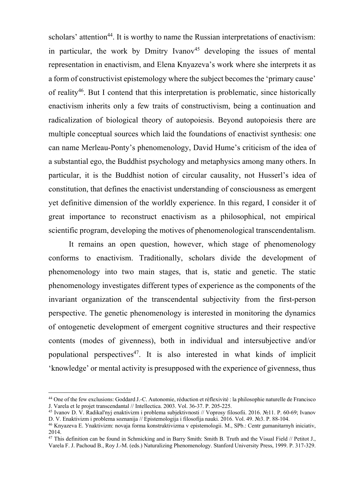scholars' attention<sup>44</sup>. It is worthy to name the Russian interpretations of enactivism: in particular, the work by Dmitry Ivanov<sup>45</sup> developing the issues of mental representation in enactivism, and Elena Knyazeva's work where she interprets it as a form of constructivist epistemology where the subject becomes the 'primary cause' of reality<sup>46</sup>. But I contend that this interpretation is problematic, since historically enactivism inherits only a few traits of constructivism, being a continuation and radicalization of biological theory of autopoiesis. Beyond autopoiesis there are multiple conceptual sources which laid the foundations of enactivist synthesis: one can name Merleau-Ponty's phenomenology, David Hume's criticism of the idea of a substantial ego, the Buddhist psychology and metaphysics among many others. In particular, it is the Buddhist notion of circular causality, not Husserl's idea of constitution, that defines the enactivist understanding of consciousness as emergent yet definitive dimension of the worldly experience. In this regard, I consider it of great importance to reconstruct enactivism as a philosophical, not empirical scientific program, developing the motives of phenomenological transcendentalism.

It remains an open question, however, which stage of phenomenology conforms to enactivism. Traditionally, scholars divide the development of phenomenology into two main stages, that is, static and genetic. The static phenomenology investigates different types of experience as the components of the invariant organization of the transcendental subjectivity from the first-person perspective. The genetic phenomenology is interested in monitoring the dynamics of ontogenetic development of emergent cognitive structures and their respective contents (modes of givenness), both in individual and intersubjective and/or populational perspectives<sup>47</sup>. It is also interested in what kinds of implicit 'knowledge' or mental activity is presupposed with the experience of givenness, thus

<sup>44</sup> One of the few exclusions: Goddard J.-C. Autonomie, réduction et réflexivité : la philosophie naturelle de Francisco J. Varela et le projet transcendantal // Intellectica. 2003. Vol. 36-37. P. 205-225.

<sup>45</sup> Ivanov D. V. Radikal'nyj enaktivizm i problema subjektivnosti // Voprosy filosofii. 2016. №11. P. 60-69; Ivanov D. V. Enaktivizm i problema soznanija // Epistemologija i filosofija nauki. 2016. Vol. 49. №3. P. 88-104.

<sup>46</sup> Knyazeva E. Уnaktivizm: novaja forma konstruktivizma v epistemologii. M., SPb.: Centr gumanitarnyh iniciativ, 2014.

<sup>&</sup>lt;sup>47</sup> This definition can be found in Schmicking and in Barry Smith: Smith B. Truth and the Visual Field // Petitot J., Varela F. J. Pachoud B., Roy J.-M. (eds.) Naturalizing Phenomenology. Stanford University Press, 1999. P. 317-329.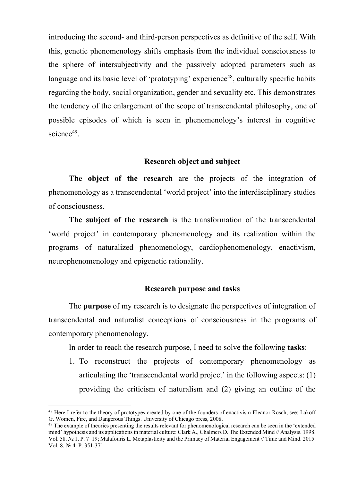introducing the second- and third-person perspectives as definitive of the self. With this, genetic phenomenology shifts emphasis from the individual consciousness to the sphere of intersubjectivity and the passively adopted parameters such as language and its basic level of 'prototyping' experience<sup>48</sup>, culturally specific habits regarding the body, social organization, gender and sexuality etc. This demonstrates the tendency of the enlargement of the scope of transcendental philosophy, one of possible episodes of which is seen in phenomenology's interest in cognitive science $49$ .

## **Research object and subject**

**The object of the research** are the projects of the integration of phenomenology as a transcendental 'world project' into the interdisciplinary studies of consciousness.

**The subject of the research** is the transformation of the transcendental 'world project' in contemporary phenomenology and its realization within the programs of naturalized phenomenology, cardiophenomenology, enactivism, neurophenomenology and epigenetic rationality.

#### **Research purpose and tasks**

The **purpose** of my research is to designate the perspectives of integration of transcendental and naturalist conceptions of consciousness in the programs of contemporary phenomenology.

In order to reach the research purpose, I need to solve the following **tasks**:

1. To reconstruct the projects of contemporary phenomenology as articulating the 'transcendental world project' in the following aspects: (1) providing the criticism of naturalism and (2) giving an outline of the

<sup>&</sup>lt;sup>48</sup> Here I refer to the theory of prototypes created by one of the founders of enactivism Eleanor Rosch, see: Lakoff G. Women, Fire, and Dangerous Things. University of Chicago press, 2008.

<sup>&</sup>lt;sup>49</sup> The example of theories presenting the results relevant for phenomenological research can be seen in the 'extended mind' hypothesis and its applications in material culture: Clark A., Chalmers D. The Extended Mind // Analysis. 1998. Vol. 58. № 1. P. 7–19; Malafouris L. Metaplasticity and the Primacy of Material Engagement // Time and Mind. 2015. Vol. 8. № 4. P. 351-371.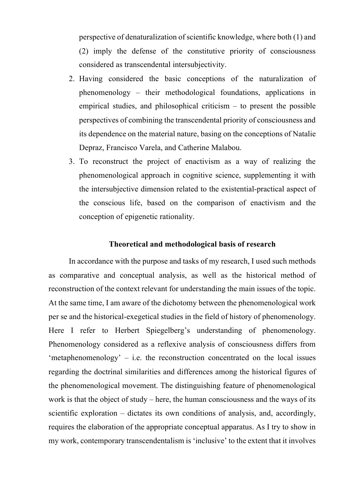perspective of denaturalization of scientific knowledge, where both (1) and (2) imply the defense of the constitutive priority of consciousness considered as transcendental intersubjectivity.

- 2. Having considered the basic conceptions of the naturalization of phenomenology – their methodological foundations, applications in empirical studies, and philosophical criticism  $-$  to present the possible perspectives of combining the transcendental priority of consciousness and its dependence on the material nature, basing on the conceptions of Natalie Depraz, Francisco Varela, and Catherine Malabou.
- 3. To reconstruct the project of enactivism as a way of realizing the phenomenological approach in cognitive science, supplementing it with the intersubjective dimension related to the existential-practical aspect of the conscious life, based on the comparison of enactivism and the conception of epigenetic rationality.

### **Theoretical and methodological basis of research**

In accordance with the purpose and tasks of my research, I used such methods as comparative and conceptual analysis, as well as the historical method of reconstruction of the context relevant for understanding the main issues of the topic. At the same time, I am aware of the dichotomy between the phenomenological work per se and the historical-exegetical studies in the field of history of phenomenology. Here I refer to Herbert Spiegelberg's understanding of phenomenology. Phenomenology considered as a reflexive analysis of consciousness differs from 'metaphenomenology'  $-$  i.e. the reconstruction concentrated on the local issues regarding the doctrinal similarities and differences among the historical figures of the phenomenological movement. The distinguishing feature of phenomenological work is that the object of study – here, the human consciousness and the ways of its scientific exploration – dictates its own conditions of analysis, and, accordingly, requires the elaboration of the appropriate conceptual apparatus. As I try to show in my work, contemporary transcendentalism is 'inclusive' to the extent that it involves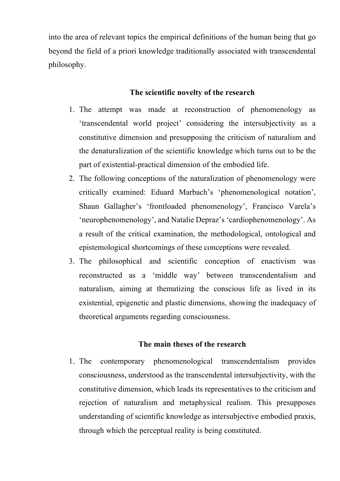into the area of relevant topics the empirical definitions of the human being that go beyond the field of a priori knowledge traditionally associated with transcendental philosophy.

## **The scientific novelty of the research**

- 1. The attempt was made at reconstruction of phenomenology as 'transcendental world project' considering the intersubjectivity as a constitutive dimension and presupposing the criticism of naturalism and the denaturalization of the scientific knowledge which turns out to be the part of existential-practical dimension of the embodied life.
- 2. The following conceptions of the naturalization of phenomenology were critically examined: Eduard Marbach's 'phenomenological notation', Shaun Gallagher's 'frontloaded phenomenology', Francisco Varela's 'neurophenomenology', and Natalie Depraz's 'cardiophenomenology'. As a result of the critical examination, the methodological, ontological and epistemological shortcomings of these conceptions were revealed.
- 3. The philosophical and scientific conception of enactivism was reconstructed as a 'middle way' between transcendentalism and naturalism, aiming at thematizing the conscious life as lived in its existential, epigenetic and plastic dimensions, showing the inadequacy of theoretical arguments regarding consciousness.

## **The main theses of the research**

1. The contemporary phenomenological transcendentalism provides consciousness, understood as the transcendental intersubjectivity, with the constitutive dimension, which leads its representatives to the criticism and rejection of naturalism and metaphysical realism. This presupposes understanding of scientific knowledge as intersubjective embodied praxis, through which the perceptual reality is being constituted.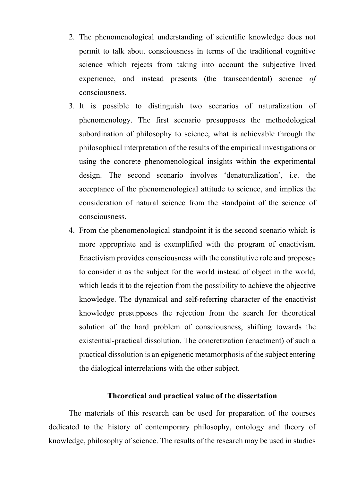- 2. The phenomenological understanding of scientific knowledge does not permit to talk about consciousness in terms of the traditional cognitive science which rejects from taking into account the subjective lived experience, and instead presents (the transcendental) science *of* consciousness.
- 3. It is possible to distinguish two scenarios of naturalization of phenomenology. The first scenario presupposes the methodological subordination of philosophy to science, what is achievable through the philosophical interpretation of the results of the empirical investigations or using the concrete phenomenological insights within the experimental design. The second scenario involves 'denaturalization', i.e. the acceptance of the phenomenological attitude to science, and implies the consideration of natural science from the standpoint of the science of consciousness.
- 4. From the phenomenological standpoint it is the second scenario which is more appropriate and is exemplified with the program of enactivism. Enactivism provides consciousness with the constitutive role and proposes to consider it as the subject for the world instead of object in the world, which leads it to the rejection from the possibility to achieve the objective knowledge. The dynamical and self-referring character of the enactivist knowledge presupposes the rejection from the search for theoretical solution of the hard problem of consciousness, shifting towards the existential-practical dissolution. The concretization (enactment) of such a practical dissolution is an epigenetic metamorphosis of the subject entering the dialogical interrelations with the other subject.

## **Theoretical and practical value of the dissertation**

The materials of this research can be used for preparation of the courses dedicated to the history of contemporary philosophy, ontology and theory of knowledge, philosophy of science. The results of the research may be used in studies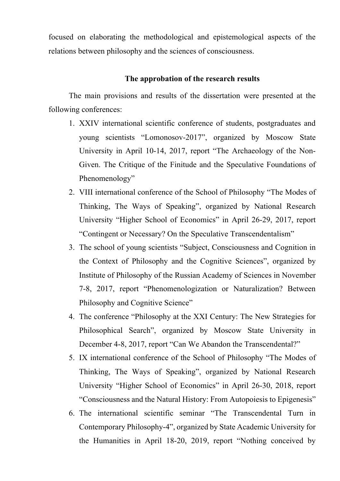focused on elaborating the methodological and epistemological aspects of the relations between philosophy and the sciences of consciousness.

## **The approbation of the research results**

The main provisions and results of the dissertation were presented at the following conferences:

- 1. XXIV international scientific conference of students, postgraduates and young scientists "Lomonosov-2017", organized by Moscow State University in April 10-14, 2017, report "The Archaeology of the Non-Given. The Critique of the Finitude and the Speculative Foundations of Phenomenology"
- 2. VIII international conference of the School of Philosophy "The Modes of Thinking, The Ways of Speaking", organized by National Research University "Higher School of Economics" in April 26-29, 2017, report "Contingent or Necessary? On the Speculative Transcendentalism"
- 3. The school of young scientists "Subject, Consciousness and Cognition in the Context of Philosophy and the Cognitive Sciences", organized by Institute of Philosophy of the Russian Academy of Sciences in November 7-8, 2017, report "Phenomenologization or Naturalization? Between Philosophy and Cognitive Science"
- 4. The conference "Philosophy at the XXI Century: The New Strategies for Philosophical Search", organized by Moscow State University in December 4-8, 2017, report "Can We Abandon the Transcendental?"
- 5. IX international conference of the School of Philosophy "The Modes of Thinking, The Ways of Speaking", organized by National Research University "Higher School of Economics" in April 26-30, 2018, report "Consciousness and the Natural History: From Autopoiesis to Epigenesis"
- 6. The international scientific seminar "The Transcendental Turn in Contemporary Philosophy-4", organized by State Academic University for the Humanities in April 18-20, 2019, report "Nothing conceived by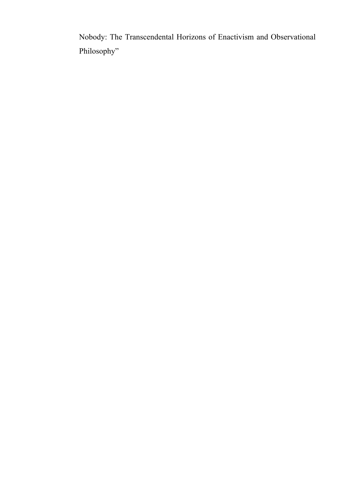Nobody: The Transcendental Horizons of Enactivism and Observational Philosophy"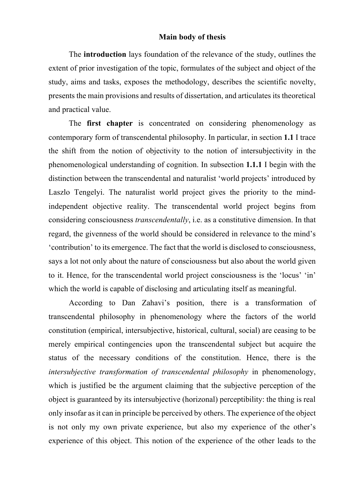### **Main body of thesis**

The **introduction** lays foundation of the relevance of the study, outlines the extent of prior investigation of the topic, formulates of the subject and object of the study, aims and tasks, exposes the methodology, describes the scientific novelty, presents the main provisions and results of dissertation, and articulates its theoretical and practical value.

The **first chapter** is concentrated on considering phenomenology as contemporary form of transcendental philosophy. In particular, in section **1.1** I trace the shift from the notion of objectivity to the notion of intersubjectivity in the phenomenological understanding of cognition. In subsection **1.1.1** I begin with the distinction between the transcendental and naturalist 'world projects' introduced by Laszlo Tengelyi. The naturalist world project gives the priority to the mindindependent objective reality. The transcendental world project begins from considering consciousness *transcendentally*, i.e. as a constitutive dimension. In that regard, the givenness of the world should be considered in relevance to the mind's 'contribution' to its emergence. The fact that the world is disclosed to consciousness, says a lot not only about the nature of consciousness but also about the world given to it. Hence, for the transcendental world project consciousness is the 'locus' 'in' which the world is capable of disclosing and articulating itself as meaningful.

According to Dan Zahavi's position, there is a transformation of transcendental philosophy in phenomenology where the factors of the world constitution (empirical, intersubjective, historical, cultural, social) are ceasing to be merely empirical contingencies upon the transcendental subject but acquire the status of the necessary conditions of the constitution. Hence, there is the *intersubjective transformation of transcendental philosophy* in phenomenology, which is justified be the argument claiming that the subjective perception of the object is guaranteed by its intersubjective (horizonal) perceptibility: the thing is real only insofar as it can in principle be perceived by others. The experience of the object is not only my own private experience, but also my experience of the other's experience of this object. This notion of the experience of the other leads to the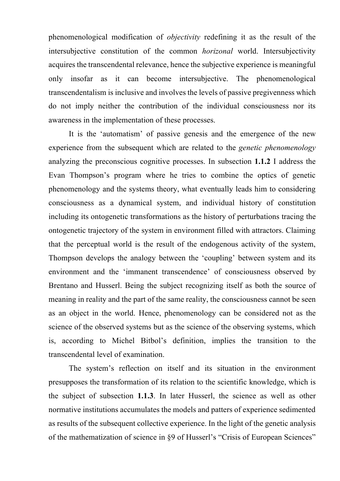phenomenological modification of *objectivity* redefining it as the result of the intersubjective constitution of the common *horizonal* world. Intersubjectivity acquires the transcendental relevance, hence the subjective experience is meaningful only insofar as it can become intersubjective. The phenomenological transcendentalism is inclusive and involves the levels of passive pregivenness which do not imply neither the contribution of the individual consciousness nor its awareness in the implementation of these processes.

It is the 'automatism' of passive genesis and the emergence of the new experience from the subsequent which are related to the *genetic phenomenology* analyzing the preconscious cognitive processes. In subsection **1.1.2** I address the Evan Thompson's program where he tries to combine the optics of genetic phenomenology and the systems theory, what eventually leads him to considering consciousness as a dynamical system, and individual history of constitution including its ontogenetic transformations as the history of perturbations tracing the ontogenetic trajectory of the system in environment filled with attractors. Claiming that the perceptual world is the result of the endogenous activity of the system, Thompson develops the analogy between the 'coupling' between system and its environment and the 'immanent transcendence' of consciousness observed by Brentano and Husserl. Being the subject recognizing itself as both the source of meaning in reality and the part of the same reality, the consciousness cannot be seen as an object in the world. Hence, phenomenology can be considered not as the science of the observed systems but as the science of the observing systems, which is, according to Michel Bitbol's definition, implies the transition to the transcendental level of examination.

The system's reflection on itself and its situation in the environment presupposes the transformation of its relation to the scientific knowledge, which is the subject of subsection **1.1.3**. In later Husserl, the science as well as other normative institutions accumulates the models and patters of experience sedimented as results of the subsequent collective experience. In the light of the genetic analysis of the mathematization of science in §9 of Husserl's "Crisis of European Sciences"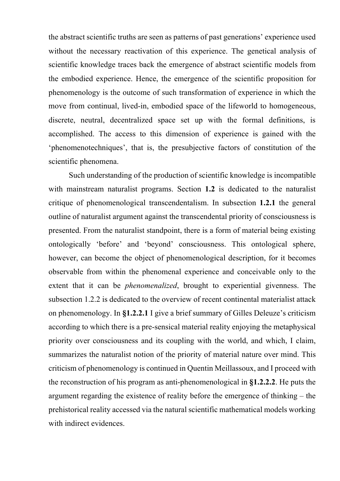the abstract scientific truths are seen as patterns of past generations' experience used without the necessary reactivation of this experience. The genetical analysis of scientific knowledge traces back the emergence of abstract scientific models from the embodied experience. Hence, the emergence of the scientific proposition for phenomenology is the outcome of such transformation of experience in which the move from continual, lived-in, embodied space of the lifeworld to homogeneous, discrete, neutral, decentralized space set up with the formal definitions, is accomplished. The access to this dimension of experience is gained with the 'phenomenotechniques', that is, the presubjective factors of constitution of the scientific phenomena.

Such understanding of the production of scientific knowledge is incompatible with mainstream naturalist programs. Section **1.2** is dedicated to the naturalist critique of phenomenological transcendentalism. In subsection **1.2.1** the general outline of naturalist argument against the transcendental priority of consciousness is presented. From the naturalist standpoint, there is a form of material being existing ontologically 'before' and 'beyond' consciousness. This ontological sphere, however, can become the object of phenomenological description, for it becomes observable from within the phenomenal experience and conceivable only to the extent that it can be *phenomenalized*, brought to experiential givenness. The subsection 1.2.2 is dedicated to the overview of recent continental materialist attack on phenomenology. In **§1.2.2.1** I give a brief summary of Gilles Deleuze's criticism according to which there is a pre-sensical material reality enjoying the metaphysical priority over consciousness and its coupling with the world, and which, I claim, summarizes the naturalist notion of the priority of material nature over mind. This criticism of phenomenology is continued in Quentin Meillassoux, and I proceed with the reconstruction of his program as anti-phenomenological in **§1.2.2.2**. He puts the argument regarding the existence of reality before the emergence of thinking – the prehistorical reality accessed via the natural scientific mathematical models working with indirect evidences.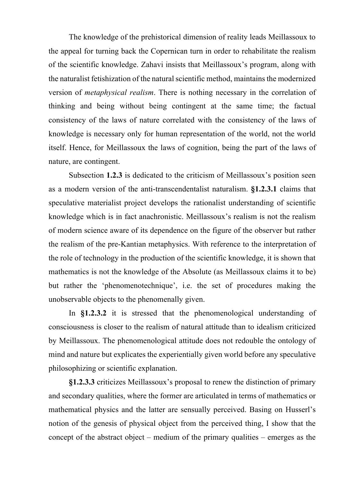The knowledge of the prehistorical dimension of reality leads Meillassoux to the appeal for turning back the Copernican turn in order to rehabilitate the realism of the scientific knowledge. Zahavi insists that Meillassoux's program, along with the naturalist fetishization of the natural scientific method, maintains the modernized version of *metaphysical realism*. There is nothing necessary in the correlation of thinking and being without being contingent at the same time; the factual consistency of the laws of nature correlated with the consistency of the laws of knowledge is necessary only for human representation of the world, not the world itself. Hence, for Meillassoux the laws of cognition, being the part of the laws of nature, are contingent.

Subsection **1.2.3** is dedicated to the criticism of Meillassoux's position seen as a modern version of the anti-transcendentalist naturalism. **§1.2.3.1** claims that speculative materialist project develops the rationalist understanding of scientific knowledge which is in fact anachronistic. Meillassoux's realism is not the realism of modern science aware of its dependence on the figure of the observer but rather the realism of the pre-Kantian metaphysics. With reference to the interpretation of the role of technology in the production of the scientific knowledge, it is shown that mathematics is not the knowledge of the Absolute (as Meillassoux claims it to be) but rather the 'phenomenotechnique', i.e. the set of procedures making the unobservable objects to the phenomenally given.

In **§1.2.3.2** it is stressed that the phenomenological understanding of consciousness is closer to the realism of natural attitude than to idealism criticized by Meillassoux. The phenomenological attitude does not redouble the ontology of mind and nature but explicates the experientially given world before any speculative philosophizing or scientific explanation.

**§1.2.3.3** criticizes Meillassoux's proposal to renew the distinction of primary and secondary qualities, where the former are articulated in terms of mathematics or mathematical physics and the latter are sensually perceived. Basing on Husserl's notion of the genesis of physical object from the perceived thing, I show that the concept of the abstract object – medium of the primary qualities – emerges as the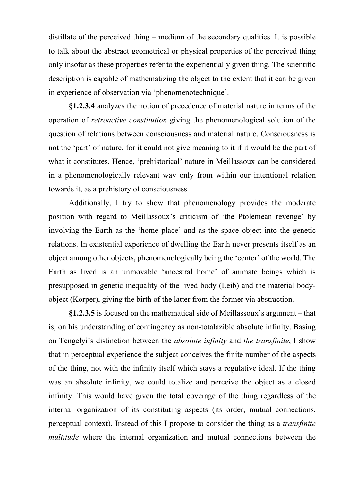distillate of the perceived thing – medium of the secondary qualities. It is possible to talk about the abstract geometrical or physical properties of the perceived thing only insofar as these properties refer to the experientially given thing. The scientific description is capable of mathematizing the object to the extent that it can be given in experience of observation via 'phenomenotechnique'.

**§1.2.3.4** analyzes the notion of precedence of material nature in terms of the operation of *retroactive constitution* giving the phenomenological solution of the question of relations between consciousness and material nature. Consciousness is not the 'part' of nature, for it could not give meaning to it if it would be the part of what it constitutes. Hence, 'prehistorical' nature in Meillassoux can be considered in a phenomenologically relevant way only from within our intentional relation towards it, as a prehistory of consciousness.

Additionally, I try to show that phenomenology provides the moderate position with regard to Meillassoux's criticism of 'the Ptolemean revenge' by involving the Earth as the 'home place' and as the space object into the genetic relations. In existential experience of dwelling the Earth never presents itself as an object among other objects, phenomenologically being the 'center' of the world. The Earth as lived is an unmovable 'ancestral home' of animate beings which is presupposed in genetic inequality of the lived body (Leib) and the material bodyobject (Körper), giving the birth of the latter from the former via abstraction.

**§1.2.3.5** is focused on the mathematical side of Meillassoux's argument – that is, on his understanding of contingency as non-totalazible absolute infinity. Basing on Tengelyi's distinction between the *absolute infinity* and *the transfinite*, I show that in perceptual experience the subject conceives the finite number of the aspects of the thing, not with the infinity itself which stays a regulative ideal. If the thing was an absolute infinity, we could totalize and perceive the object as a closed infinity. This would have given the total coverage of the thing regardless of the internal organization of its constituting aspects (its order, mutual connections, perceptual context). Instead of this I propose to consider the thing as a *transfinite multitude* where the internal organization and mutual connections between the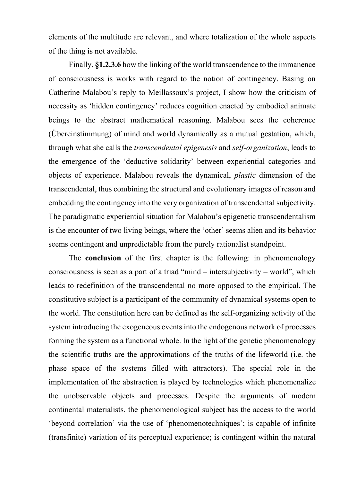elements of the multitude are relevant, and where totalization of the whole aspects of the thing is not available.

Finally, **§1.2.3.6** how the linking of the world transcendence to the immanence of consciousness is works with regard to the notion of contingency. Basing on Catherine Malabou's reply to Meillassoux's project, I show how the criticism of necessity as 'hidden contingency' reduces cognition enacted by embodied animate beings to the abstract mathematical reasoning. Malabou sees the coherence (Übereinstimmung) of mind and world dynamically as a mutual gestation, which, through what she calls the *transcendental epigenesis* and *self-organization*, leads to the emergence of the 'deductive solidarity' between experiential categories and objects of experience. Malabou reveals the dynamical, *plastic* dimension of the transcendental, thus combining the structural and evolutionary images of reason and embedding the contingency into the very organization of transcendental subjectivity. The paradigmatic experiential situation for Malabou's epigenetic transcendentalism is the encounter of two living beings, where the 'other' seems alien and its behavior seems contingent and unpredictable from the purely rationalist standpoint.

The **conclusion** of the first chapter is the following: in phenomenology consciousness is seen as a part of a triad "mind – intersubjectivity – world", which leads to redefinition of the transcendental no more opposed to the empirical. The constitutive subject is a participant of the community of dynamical systems open to the world. The constitution here can be defined as the self-organizing activity of the system introducing the exogeneous events into the endogenous network of processes forming the system as a functional whole. In the light of the genetic phenomenology the scientific truths are the approximations of the truths of the lifeworld (i.e. the phase space of the systems filled with attractors). The special role in the implementation of the abstraction is played by technologies which phenomenalize the unobservable objects and processes. Despite the arguments of modern continental materialists, the phenomenological subject has the access to the world 'beyond correlation' via the use of 'phenomenotechniques'; is capable of infinite (transfinite) variation of its perceptual experience; is contingent within the natural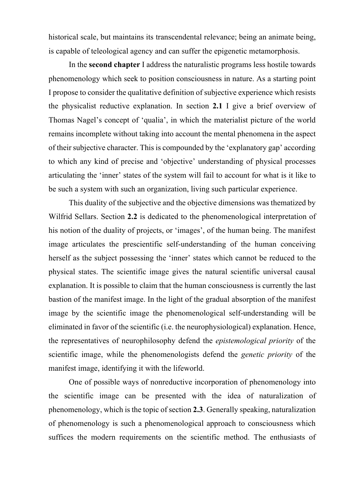historical scale, but maintains its transcendental relevance; being an animate being, is capable of teleological agency and can suffer the epigenetic metamorphosis.

In the **second chapter** I address the naturalistic programs less hostile towards phenomenology which seek to position consciousness in nature. As a starting point I propose to consider the qualitative definition of subjective experience which resists the physicalist reductive explanation. In section **2.1** I give a brief overview of Thomas Nagel's concept of 'qualia', in which the materialist picture of the world remains incomplete without taking into account the mental phenomena in the aspect of their subjective character. This is compounded by the 'explanatory gap' according to which any kind of precise and 'objective' understanding of physical processes articulating the 'inner' states of the system will fail to account for what is it like to be such a system with such an organization, living such particular experience.

This duality of the subjective and the objective dimensions was thematized by Wilfrid Sellars. Section **2.2** is dedicated to the phenomenological interpretation of his notion of the duality of projects, or 'images', of the human being. The manifest image articulates the prescientific self-understanding of the human conceiving herself as the subject possessing the 'inner' states which cannot be reduced to the physical states. The scientific image gives the natural scientific universal causal explanation. It is possible to claim that the human consciousness is currently the last bastion of the manifest image. In the light of the gradual absorption of the manifest image by the scientific image the phenomenological self-understanding will be eliminated in favor of the scientific (i.e. the neurophysiological) explanation. Hence, the representatives of neurophilosophy defend the *epistemological priority* of the scientific image, while the phenomenologists defend the *genetic priority* of the manifest image, identifying it with the lifeworld.

One of possible ways of nonreductive incorporation of phenomenology into the scientific image can be presented with the idea of naturalization of phenomenology, which is the topic of section **2.3**. Generally speaking, naturalization of phenomenology is such a phenomenological approach to consciousness which suffices the modern requirements on the scientific method. The enthusiasts of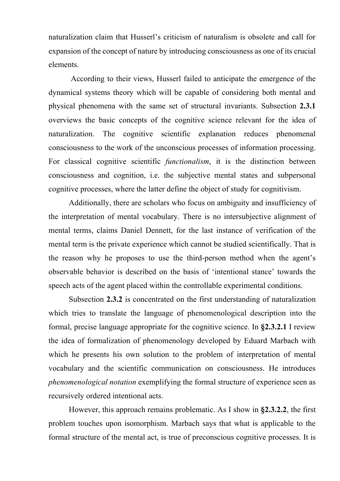naturalization claim that Husserl's criticism of naturalism is obsolete and call for expansion of the concept of nature by introducing consciousness as one of its crucial elements.

According to their views, Husserl failed to anticipate the emergence of the dynamical systems theory which will be capable of considering both mental and physical phenomena with the same set of structural invariants. Subsection **2.3.1** overviews the basic concepts of the cognitive science relevant for the idea of naturalization. The cognitive scientific explanation reduces phenomenal consciousness to the work of the unconscious processes of information processing. For classical cognitive scientific *functionalism*, it is the distinction between consciousness and cognition, i.e. the subjective mental states and subpersonal cognitive processes, where the latter define the object of study for cognitivism.

Additionally, there are scholars who focus on ambiguity and insufficiency of the interpretation of mental vocabulary. There is no intersubjective alignment of mental terms, claims Daniel Dennett, for the last instance of verification of the mental term is the private experience which cannot be studied scientifically. That is the reason why he proposes to use the third-person method when the agent's observable behavior is described on the basis of 'intentional stance' towards the speech acts of the agent placed within the controllable experimental conditions.

Subsection **2.3.2** is concentrated on the first understanding of naturalization which tries to translate the language of phenomenological description into the formal, precise language appropriate for the cognitive science. In **§2.3.2.1** I review the idea of formalization of phenomenology developed by Eduard Marbach with which he presents his own solution to the problem of interpretation of mental vocabulary and the scientific communication on consciousness. He introduces *phenomenological notation* exemplifying the formal structure of experience seen as recursively ordered intentional acts.

However, this approach remains problematic. As I show in **§2.3.2.2**, the first problem touches upon isomorphism. Marbach says that what is applicable to the formal structure of the mental act, is true of preconscious cognitive processes. It is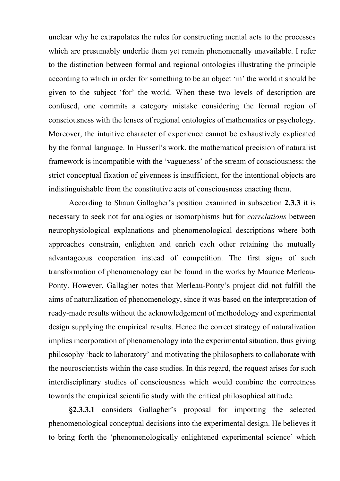unclear why he extrapolates the rules for constructing mental acts to the processes which are presumably underlie them yet remain phenomenally unavailable. I refer to the distinction between formal and regional ontologies illustrating the principle according to which in order for something to be an object 'in' the world it should be given to the subject 'for' the world. When these two levels of description are confused, one commits a category mistake considering the formal region of consciousness with the lenses of regional ontologies of mathematics or psychology. Moreover, the intuitive character of experience cannot be exhaustively explicated by the formal language. In Husserl's work, the mathematical precision of naturalist framework is incompatible with the 'vagueness' of the stream of consciousness: the strict conceptual fixation of givenness is insufficient, for the intentional objects are indistinguishable from the constitutive acts of consciousness enacting them.

According to Shaun Gallagher's position examined in subsection **2.3.3** it is necessary to seek not for analogies or isomorphisms but for *correlations* between neurophysiological explanations and phenomenological descriptions where both approaches constrain, enlighten and enrich each other retaining the mutually advantageous cooperation instead of competition. The first signs of such transformation of phenomenology can be found in the works by Maurice Merleau-Ponty. However, Gallagher notes that Merleau-Ponty's project did not fulfill the aims of naturalization of phenomenology, since it was based on the interpretation of ready-made results without the acknowledgement of methodology and experimental design supplying the empirical results. Hence the correct strategy of naturalization implies incorporation of phenomenology into the experimental situation, thus giving philosophy 'back to laboratory' and motivating the philosophers to collaborate with the neuroscientists within the case studies. In this regard, the request arises for such interdisciplinary studies of consciousness which would combine the correctness towards the empirical scientific study with the critical philosophical attitude.

**§2.3.3.1** considers Gallagher's proposal for importing the selected phenomenological conceptual decisions into the experimental design. He believes it to bring forth the 'phenomenologically enlightened experimental science' which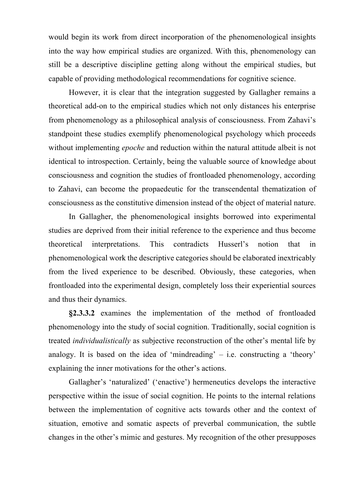would begin its work from direct incorporation of the phenomenological insights into the way how empirical studies are organized. With this, phenomenology can still be a descriptive discipline getting along without the empirical studies, but capable of providing methodological recommendations for cognitive science.

However, it is clear that the integration suggested by Gallagher remains a theoretical add-on to the empirical studies which not only distances his enterprise from phenomenology as a philosophical analysis of consciousness. From Zahavi's standpoint these studies exemplify phenomenological psychology which proceeds without implementing *epoche* and reduction within the natural attitude albeit is not identical to introspection. Certainly, being the valuable source of knowledge about consciousness and cognition the studies of frontloaded phenomenology, according to Zahavi, can become the propaedeutic for the transcendental thematization of consciousness as the constitutive dimension instead of the object of material nature.

In Gallagher, the phenomenological insights borrowed into experimental studies are deprived from their initial reference to the experience and thus become theoretical interpretations. This contradicts Husserl's notion that in phenomenological work the descriptive categories should be elaborated inextricably from the lived experience to be described. Obviously, these categories, when frontloaded into the experimental design, completely loss their experiential sources and thus their dynamics.

**§2.3.3.2** examines the implementation of the method of frontloaded phenomenology into the study of social cognition. Traditionally, social cognition is treated *individualistically* as subjective reconstruction of the other's mental life by analogy. It is based on the idea of 'mindreading'  $-$  i.e. constructing a 'theory' explaining the inner motivations for the other's actions.

Gallagher's 'naturalized' ('enactive') hermeneutics develops the interactive perspective within the issue of social cognition. He points to the internal relations between the implementation of cognitive acts towards other and the context of situation, emotive and somatic aspects of preverbal communication, the subtle changes in the other's mimic and gestures. My recognition of the other presupposes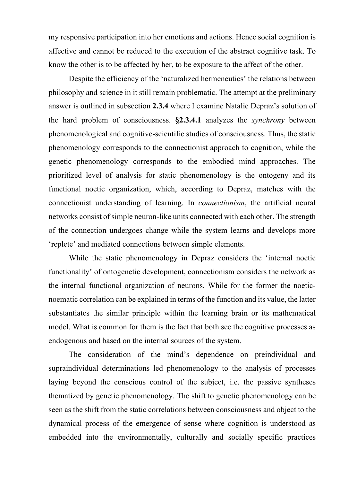my responsive participation into her emotions and actions. Hence social cognition is affective and cannot be reduced to the execution of the abstract cognitive task. To know the other is to be affected by her, to be exposure to the affect of the other.

Despite the efficiency of the 'naturalized hermeneutics' the relations between philosophy and science in it still remain problematic. The attempt at the preliminary answer is outlined in subsection **2.3.4** where I examine Natalie Depraz's solution of the hard problem of consciousness. **§2.3.4.1** analyzes the *synchrony* between phenomenological and cognitive-scientific studies of consciousness. Thus, the static phenomenology corresponds to the connectionist approach to cognition, while the genetic phenomenology corresponds to the embodied mind approaches. The prioritized level of analysis for static phenomenology is the ontogeny and its functional noetic organization, which, according to Depraz, matches with the connectionist understanding of learning. In *connectionism*, the artificial neural networks consist of simple neuron-like units connected with each other. The strength of the connection undergoes change while the system learns and develops more 'replete' and mediated connections between simple elements.

While the static phenomenology in Depraz considers the 'internal noetic functionality' of ontogenetic development, connectionism considers the network as the internal functional organization of neurons. While for the former the noeticnoematic correlation can be explained in terms of the function and its value, the latter substantiates the similar principle within the learning brain or its mathematical model. What is common for them is the fact that both see the cognitive processes as endogenous and based on the internal sources of the system.

The consideration of the mind's dependence on preindividual and supraindividual determinations led phenomenology to the analysis of processes laying beyond the conscious control of the subject, i.e. the passive syntheses thematized by genetic phenomenology. The shift to genetic phenomenology can be seen as the shift from the static correlations between consciousness and object to the dynamical process of the emergence of sense where cognition is understood as embedded into the environmentally, culturally and socially specific practices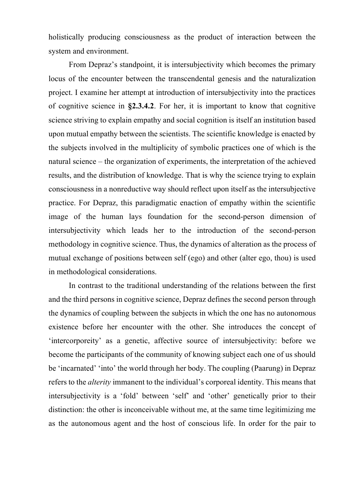holistically producing consciousness as the product of interaction between the system and environment.

From Depraz's standpoint, it is intersubjectivity which becomes the primary locus of the encounter between the transcendental genesis and the naturalization project. I examine her attempt at introduction of intersubjectivity into the practices of cognitive science in **§2.3.4.2**. For her, it is important to know that cognitive science striving to explain empathy and social cognition is itself an institution based upon mutual empathy between the scientists. The scientific knowledge is enacted by the subjects involved in the multiplicity of symbolic practices one of which is the natural science – the organization of experiments, the interpretation of the achieved results, and the distribution of knowledge. That is why the science trying to explain consciousness in a nonreductive way should reflect upon itself as the intersubjective practice. For Depraz, this paradigmatic enaction of empathy within the scientific image of the human lays foundation for the second-person dimension of intersubjectivity which leads her to the introduction of the second-person methodology in cognitive science. Thus, the dynamics of alteration as the process of mutual exchange of positions between self (ego) and other (alter ego, thou) is used in methodological considerations.

In contrast to the traditional understanding of the relations between the first and the third persons in cognitive science, Depraz defines the second person through the dynamics of coupling between the subjects in which the one has no autonomous existence before her encounter with the other. She introduces the concept of 'intercorporeity' as a genetic, affective source of intersubjectivity: before we become the participants of the community of knowing subject each one of us should be 'incarnated' 'into' the world through her body. The coupling (Paarung) in Depraz refers to the *alterity* immanent to the individual's corporeal identity. This means that intersubjectivity is a 'fold' between 'self' and 'other' genetically prior to their distinction: the other is inconceivable without me, at the same time legitimizing me as the autonomous agent and the host of conscious life. In order for the pair to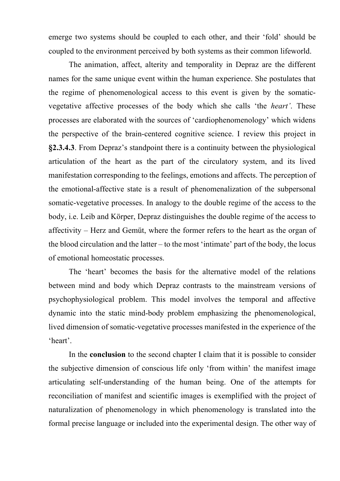emerge two systems should be coupled to each other, and their 'fold' should be coupled to the environment perceived by both systems as their common lifeworld.

The animation, affect, alterity and temporality in Depraz are the different names for the same unique event within the human experience. She postulates that the regime of phenomenological access to this event is given by the somaticvegetative affective processes of the body which she calls 'the *heart'*. These processes are elaborated with the sources of 'cardiophenomenology' which widens the perspective of the brain-centered cognitive science. I review this project in **§2.3.4.3**. From Depraz's standpoint there is a continuity between the physiological articulation of the heart as the part of the circulatory system, and its lived manifestation corresponding to the feelings, emotions and affects. The perception of the emotional-affective state is a result of phenomenalization of the subpersonal somatic-vegetative processes. In analogy to the double regime of the access to the body, i.e. Leib and Körper, Depraz distinguishes the double regime of the access to affectivity – Herz and Gemüt, where the former refers to the heart as the organ of the blood circulation and the latter – to the most 'intimate' part of the body, the locus of emotional homeostatic processes.

The 'heart' becomes the basis for the alternative model of the relations between mind and body which Depraz contrasts to the mainstream versions of psychophysiological problem. This model involves the temporal and affective dynamic into the static mind-body problem emphasizing the phenomenological, lived dimension of somatic-vegetative processes manifested in the experience of the 'heart'.

In the **conclusion** to the second chapter I claim that it is possible to consider the subjective dimension of conscious life only 'from within' the manifest image articulating self-understanding of the human being. One of the attempts for reconciliation of manifest and scientific images is exemplified with the project of naturalization of phenomenology in which phenomenology is translated into the formal precise language or included into the experimental design. The other way of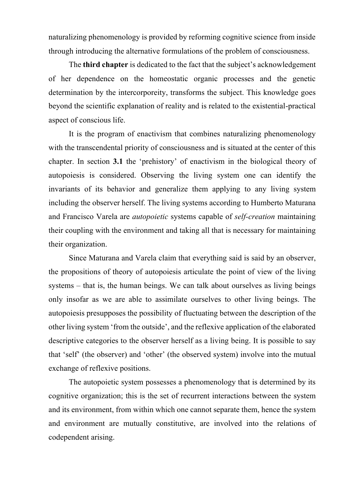naturalizing phenomenology is provided by reforming cognitive science from inside through introducing the alternative formulations of the problem of consciousness.

The **third chapter** is dedicated to the fact that the subject's acknowledgement of her dependence on the homeostatic organic processes and the genetic determination by the intercorporeity, transforms the subject. This knowledge goes beyond the scientific explanation of reality and is related to the existential-practical aspect of conscious life.

It is the program of enactivism that combines naturalizing phenomenology with the transcendental priority of consciousness and is situated at the center of this chapter. In section **3.1** the 'prehistory' of enactivism in the biological theory of autopoiesis is considered. Observing the living system one can identify the invariants of its behavior and generalize them applying to any living system including the observer herself. The living systems according to Humberto Maturana and Francisco Varela are *autopoietic* systems capable of *self-creation* maintaining their coupling with the environment and taking all that is necessary for maintaining their organization.

Since Maturana and Varela claim that everything said is said by an observer, the propositions of theory of autopoiesis articulate the point of view of the living systems – that is, the human beings. We can talk about ourselves as living beings only insofar as we are able to assimilate ourselves to other living beings. The autopoiesis presupposes the possibility of fluctuating between the description of the other living system 'from the outside', and the reflexive application of the elaborated descriptive categories to the observer herself as a living being. It is possible to say that 'self' (the observer) and 'other' (the observed system) involve into the mutual exchange of reflexive positions.

The autopoietic system possesses a phenomenology that is determined by its cognitive organization; this is the set of recurrent interactions between the system and its environment, from within which one cannot separate them, hence the system and environment are mutually constitutive, are involved into the relations of codependent arising.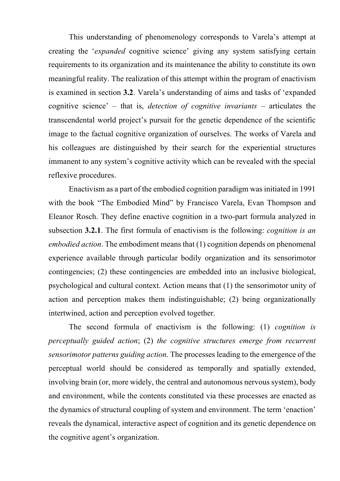This understanding of phenomenology corresponds to Varela's attempt at creating the '*expanded* cognitive science' giving any system satisfying certain requirements to its organization and its maintenance the ability to constitute its own meaningful reality. The realization of this attempt within the program of enactivism is examined in section **3.2**. Varela's understanding of aims and tasks of 'expanded cognitive science' – that is, *detection of cognitive invariants* – articulates the transcendental world project's pursuit for the genetic dependence of the scientific image to the factual cognitive organization of ourselves. The works of Varela and his colleagues are distinguished by their search for the experiential structures immanent to any system's cognitive activity which can be revealed with the special reflexive procedures.

Enactivism as a part of the embodied cognition paradigm was initiated in 1991 with the book "The Embodied Mind" by Francisco Varela, Evan Thompson and Eleanor Rosch. They define enactive cognition in a two-part formula analyzed in subsection **3.2.1**. The first formula of enactivism is the following: *cognition is an embodied action*. The embodiment means that (1) cognition depends on phenomenal experience available through particular bodily organization and its sensorimotor contingencies; (2) these contingencies are embedded into an inclusive biological, psychological and cultural context. Action means that (1) the sensorimotor unity of action and perception makes them indistinguishable; (2) being organizationally intertwined, action and perception evolved together.

The second formula of enactivism is the following: (1) *cognition is perceptually guided action*; (2) *the cognitive structures emerge from recurrent sensorimotor patterns guiding action*. The processes leading to the emergence of the perceptual world should be considered as temporally and spatially extended, involving brain (or, more widely, the central and autonomous nervous system), body and environment, while the contents constituted via these processes are enacted as the dynamics of structural coupling of system and environment. The term 'enaction' reveals the dynamical, interactive aspect of cognition and its genetic dependence on the cognitive agent's organization.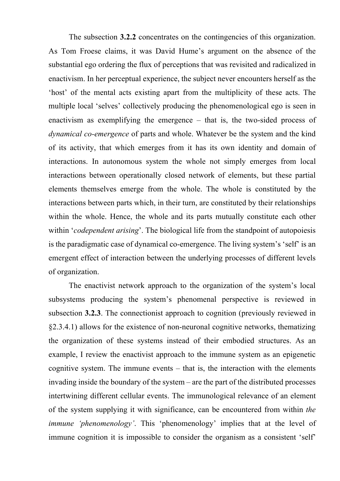The subsection **3.2.2** concentrates on the contingencies of this organization. As Tom Froese claims, it was David Hume's argument on the absence of the substantial ego ordering the flux of perceptions that was revisited and radicalized in enactivism. In her perceptual experience, the subject never encounters herself as the 'host' of the mental acts existing apart from the multiplicity of these acts. The multiple local 'selves' collectively producing the phenomenological ego is seen in enactivism as exemplifying the emergence – that is, the two-sided process of *dynamical co-emergence* of parts and whole. Whatever be the system and the kind of its activity, that which emerges from it has its own identity and domain of interactions. In autonomous system the whole not simply emerges from local interactions between operationally closed network of elements, but these partial elements themselves emerge from the whole. The whole is constituted by the interactions between parts which, in their turn, are constituted by their relationships within the whole. Hence, the whole and its parts mutually constitute each other within *'codependent arising'*. The biological life from the standpoint of autopoiesis is the paradigmatic case of dynamical co-emergence. The living system's 'self' is an emergent effect of interaction between the underlying processes of different levels of organization.

The enactivist network approach to the organization of the system's local subsystems producing the system's phenomenal perspective is reviewed in subsection **3.2.3**. The connectionist approach to cognition (previously reviewed in §2.3.4.1) allows for the existence of non-neuronal cognitive networks, thematizing the organization of these systems instead of their embodied structures. As an example, I review the enactivist approach to the immune system as an epigenetic cognitive system. The immune events – that is, the interaction with the elements invading inside the boundary of the system – are the part of the distributed processes intertwining different cellular events. The immunological relevance of an element of the system supplying it with significance, can be encountered from within *the immune 'phenomenology'*. This 'phenomenology' implies that at the level of immune cognition it is impossible to consider the organism as a consistent 'self'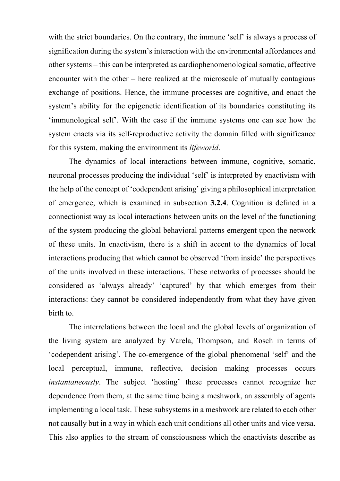with the strict boundaries. On the contrary, the immune 'self' is always a process of signification during the system's interaction with the environmental affordances and other systems – this can be interpreted as cardiophenomenological somatic, affective encounter with the other – here realized at the microscale of mutually contagious exchange of positions. Hence, the immune processes are cognitive, and enact the system's ability for the epigenetic identification of its boundaries constituting its 'immunological self'. With the case if the immune systems one can see how the system enacts via its self-reproductive activity the domain filled with significance for this system, making the environment its *lifeworld*.

The dynamics of local interactions between immune, cognitive, somatic, neuronal processes producing the individual 'self' is interpreted by enactivism with the help of the concept of 'codependent arising' giving a philosophical interpretation of emergence, which is examined in subsection **3.2.4**. Cognition is defined in a connectionist way as local interactions between units on the level of the functioning of the system producing the global behavioral patterns emergent upon the network of these units. In enactivism, there is a shift in accent to the dynamics of local interactions producing that which cannot be observed 'from inside' the perspectives of the units involved in these interactions. These networks of processes should be considered as 'always already' 'captured' by that which emerges from their interactions: they cannot be considered independently from what they have given birth to.

The interrelations between the local and the global levels of organization of the living system are analyzed by Varela, Thompson, and Rosch in terms of 'codependent arising'. The co-emergence of the global phenomenal 'self' and the local perceptual, immune, reflective, decision making processes occurs *instantaneously*. The subject 'hosting' these processes cannot recognize her dependence from them, at the same time being a meshwork, an assembly of agents implementing a local task. These subsystems in a meshwork are related to each other not causally but in a way in which each unit conditions all other units and vice versa. This also applies to the stream of consciousness which the enactivists describe as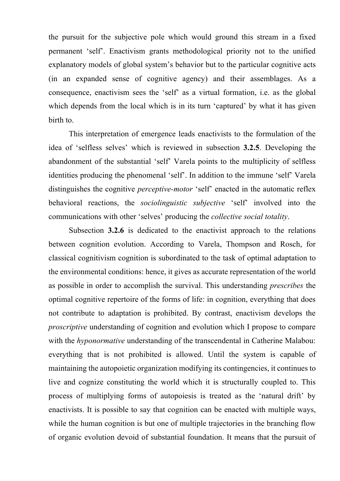the pursuit for the subjective pole which would ground this stream in a fixed permanent 'self'. Enactivism grants methodological priority not to the unified explanatory models of global system's behavior but to the particular cognitive acts (in an expanded sense of cognitive agency) and their assemblages. As a consequence, enactivism sees the 'self' as a virtual formation, i.e. as the global which depends from the local which is in its turn 'captured' by what it has given birth to.

This interpretation of emergence leads enactivists to the formulation of the idea of 'selfless selves' which is reviewed in subsection **3.2.5**. Developing the abandonment of the substantial 'self' Varela points to the multiplicity of selfless identities producing the phenomenal 'self'. In addition to the immune 'self' Varela distinguishes the cognitive *perceptive-motor* 'self' enacted in the automatic reflex behavioral reactions, the *sociolinguistic subjective* 'self' involved into the communications with other 'selves' producing the *collective social totality*.

Subsection **3.2.6** is dedicated to the enactivist approach to the relations between cognition evolution. According to Varela, Thompson and Rosch, for classical cognitivism cognition is subordinated to the task of optimal adaptation to the environmental conditions: hence, it gives as accurate representation of the world as possible in order to accomplish the survival. This understanding *prescribes* the optimal cognitive repertoire of the forms of life: in cognition, everything that does not contribute to adaptation is prohibited. By contrast, enactivism develops the *proscriptive* understanding of cognition and evolution which I propose to compare with the *hyponormative* understanding of the transcendental in Catherine Malabou: everything that is not prohibited is allowed. Until the system is capable of maintaining the autopoietic organization modifying its contingencies, it continues to live and cognize constituting the world which it is structurally coupled to. This process of multiplying forms of autopoiesis is treated as the 'natural drift' by enactivists. It is possible to say that cognition can be enacted with multiple ways, while the human cognition is but one of multiple trajectories in the branching flow of organic evolution devoid of substantial foundation. It means that the pursuit of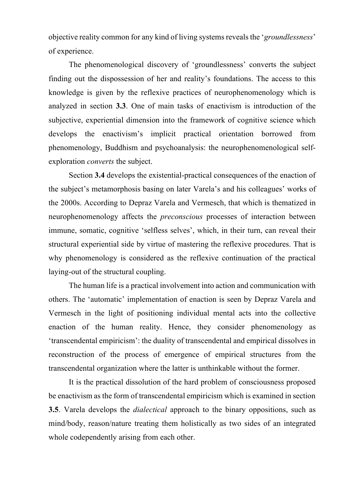objective reality common for any kind of living systems reveals the '*groundlessness*' of experience.

The phenomenological discovery of 'groundlessness' converts the subject finding out the dispossession of her and reality's foundations. The access to this knowledge is given by the reflexive practices of neurophenomenology which is analyzed in section **3.3**. One of main tasks of enactivism is introduction of the subjective, experiential dimension into the framework of cognitive science which develops the enactivism's implicit practical orientation borrowed from phenomenology, Buddhism and psychoanalysis: the neurophenomenological selfexploration *converts* the subject.

Section **3.4** develops the existential-practical consequences of the enaction of the subject's metamorphosis basing on later Varela's and his colleagues' works of the 2000s. According to Depraz Varela and Vermesch, that which is thematized in neurophenomenology affects the *preconscious* processes of interaction between immune, somatic, cognitive 'selfless selves', which, in their turn, can reveal their structural experiential side by virtue of mastering the reflexive procedures. That is why phenomenology is considered as the reflexive continuation of the practical laying-out of the structural coupling.

The human life is a practical involvement into action and communication with others. The 'automatic' implementation of enaction is seen by Depraz Varela and Vermesch in the light of positioning individual mental acts into the collective enaction of the human reality. Hence, they consider phenomenology as 'transcendental empiricism': the duality of transcendental and empirical dissolves in reconstruction of the process of emergence of empirical structures from the transcendental organization where the latter is unthinkable without the former.

It is the practical dissolution of the hard problem of consciousness proposed be enactivism as the form of transcendental empiricism which is examined in section **3.5**. Varela develops the *dialectical* approach to the binary oppositions, such as mind/body, reason/nature treating them holistically as two sides of an integrated whole codependently arising from each other.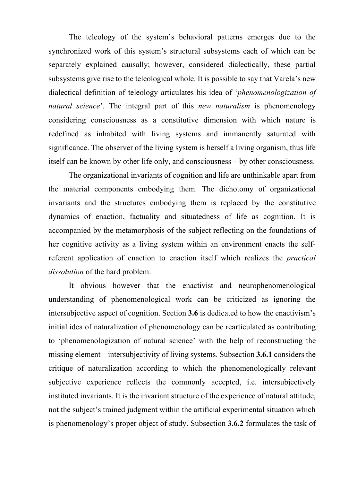The teleology of the system's behavioral patterns emerges due to the synchronized work of this system's structural subsystems each of which can be separately explained causally; however, considered dialectically, these partial subsystems give rise to the teleological whole. It is possible to say that Varela's new dialectical definition of teleology articulates his idea of '*phenomenologization of natural science*'. The integral part of this *new naturalism* is phenomenology considering consciousness as a constitutive dimension with which nature is redefined as inhabited with living systems and immanently saturated with significance. The observer of the living system is herself a living organism, thus life itself can be known by other life only, and consciousness – by other consciousness.

The organizational invariants of cognition and life are unthinkable apart from the material components embodying them. The dichotomy of organizational invariants and the structures embodying them is replaced by the constitutive dynamics of enaction, factuality and situatedness of life as cognition. It is accompanied by the metamorphosis of the subject reflecting on the foundations of her cognitive activity as a living system within an environment enacts the selfreferent application of enaction to enaction itself which realizes the *practical dissolution* of the hard problem.

It obvious however that the enactivist and neurophenomenological understanding of phenomenological work can be criticized as ignoring the intersubjective aspect of cognition. Section **3.6** is dedicated to how the enactivism's initial idea of naturalization of phenomenology can be rearticulated as contributing to 'phenomenologization of natural science' with the help of reconstructing the missing element – intersubjectivity of living systems. Subsection **3.6.1** considers the critique of naturalization according to which the phenomenologically relevant subjective experience reflects the commonly accepted, i.e. intersubjectively instituted invariants. It is the invariant structure of the experience of natural attitude, not the subject's trained judgment within the artificial experimental situation which is phenomenology's proper object of study. Subsection **3.6.2** formulates the task of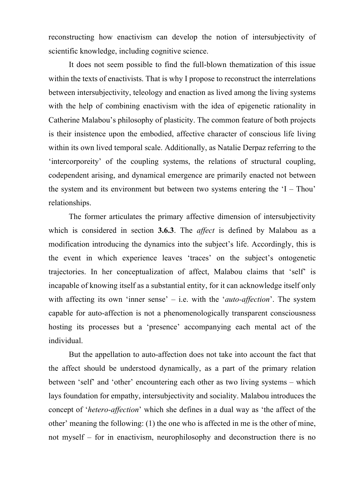reconstructing how enactivism can develop the notion of intersubjectivity of scientific knowledge, including cognitive science.

It does not seem possible to find the full-blown thematization of this issue within the texts of enactivists. That is why I propose to reconstruct the interrelations between intersubjectivity, teleology and enaction as lived among the living systems with the help of combining enactivism with the idea of epigenetic rationality in Catherine Malabou's philosophy of plasticity. The common feature of both projects is their insistence upon the embodied, affective character of conscious life living within its own lived temporal scale. Additionally, as Natalie Derpaz referring to the 'intercorporeity' of the coupling systems, the relations of structural coupling, codependent arising, and dynamical emergence are primarily enacted not between the system and its environment but between two systems entering the  $I$  – Thou' relationships.

The former articulates the primary affective dimension of intersubjectivity which is considered in section **3.6.3**. The *affect* is defined by Malabou as a modification introducing the dynamics into the subject's life. Accordingly, this is the event in which experience leaves 'traces' on the subject's ontogenetic trajectories. In her conceptualization of affect, Malabou claims that 'self' is incapable of knowing itself as a substantial entity, for it can acknowledge itself only with affecting its own 'inner sense' – i.e. with the '*auto-affection*'. The system capable for auto-affection is not a phenomenologically transparent consciousness hosting its processes but a 'presence' accompanying each mental act of the individual.

But the appellation to auto-affection does not take into account the fact that the affect should be understood dynamically, as a part of the primary relation between 'self' and 'other' encountering each other as two living systems – which lays foundation for empathy, intersubjectivity and sociality. Malabou introduces the concept of '*hetero-affection*' which she defines in a dual way as 'the affect of the other' meaning the following: (1) the one who is affected in me is the other of mine, not myself – for in enactivism, neurophilosophy and deconstruction there is no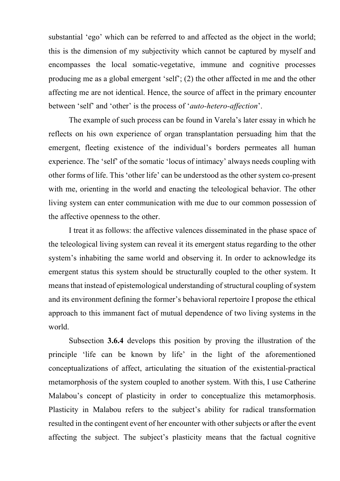substantial 'ego' which can be referred to and affected as the object in the world; this is the dimension of my subjectivity which cannot be captured by myself and encompasses the local somatic-vegetative, immune and cognitive processes producing me as a global emergent 'self'; (2) the other affected in me and the other affecting me are not identical. Hence, the source of affect in the primary encounter between 'self' and 'other' is the process of '*auto-hetero-affection*'.

The example of such process can be found in Varela's later essay in which he reflects on his own experience of organ transplantation persuading him that the emergent, fleeting existence of the individual's borders permeates all human experience. The 'self' of the somatic 'locus of intimacy' always needs coupling with other forms of life. This 'other life' can be understood as the other system co-present with me, orienting in the world and enacting the teleological behavior. The other living system can enter communication with me due to our common possession of the affective openness to the other.

I treat it as follows: the affective valences disseminated in the phase space of the teleological living system can reveal it its emergent status regarding to the other system's inhabiting the same world and observing it. In order to acknowledge its emergent status this system should be structurally coupled to the other system. It means that instead of epistemological understanding of structural coupling of system and its environment defining the former's behavioral repertoire I propose the ethical approach to this immanent fact of mutual dependence of two living systems in the world.

Subsection **3.6.4** develops this position by proving the illustration of the principle 'life can be known by life' in the light of the aforementioned conceptualizations of affect, articulating the situation of the existential-practical metamorphosis of the system coupled to another system. With this, I use Catherine Malabou's concept of plasticity in order to conceptualize this metamorphosis. Plasticity in Malabou refers to the subject's ability for radical transformation resulted in the contingent event of her encounter with other subjects or after the event affecting the subject. The subject's plasticity means that the factual cognitive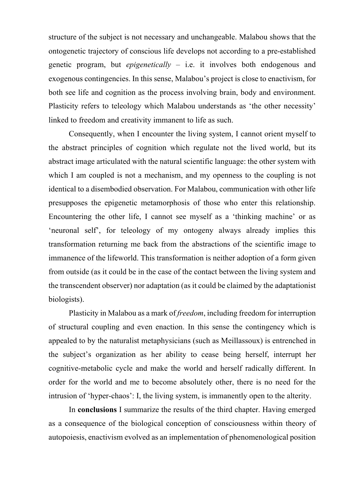structure of the subject is not necessary and unchangeable. Malabou shows that the ontogenetic trajectory of conscious life develops not according to a pre-established genetic program, but *epigenetically* – i.e. it involves both endogenous and exogenous contingencies. In this sense, Malabou's project is close to enactivism, for both see life and cognition as the process involving brain, body and environment. Plasticity refers to teleology which Malabou understands as 'the other necessity' linked to freedom and creativity immanent to life as such.

Consequently, when I encounter the living system, I cannot orient myself to the abstract principles of cognition which regulate not the lived world, but its abstract image articulated with the natural scientific language: the other system with which I am coupled is not a mechanism, and my openness to the coupling is not identical to a disembodied observation. For Malabou, communication with other life presupposes the epigenetic metamorphosis of those who enter this relationship. Encountering the other life, I cannot see myself as a 'thinking machine' or as 'neuronal self', for teleology of my ontogeny always already implies this transformation returning me back from the abstractions of the scientific image to immanence of the lifeworld. This transformation is neither adoption of a form given from outside (as it could be in the case of the contact between the living system and the transcendent observer) nor adaptation (as it could be claimed by the adaptationist biologists).

Plasticity in Malabou as a mark of *freedom*, including freedom for interruption of structural coupling and even enaction. In this sense the contingency which is appealed to by the naturalist metaphysicians (such as Meillassoux) is entrenched in the subject's organization as her ability to cease being herself, interrupt her cognitive-metabolic cycle and make the world and herself radically different. In order for the world and me to become absolutely other, there is no need for the intrusion of 'hyper-chaos': I, the living system, is immanently open to the alterity.

In **conclusions** I summarize the results of the third chapter. Having emerged as a consequence of the biological conception of consciousness within theory of autopoiesis, enactivism evolved as an implementation of phenomenological position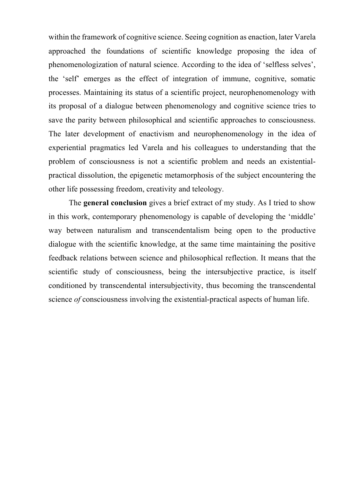within the framework of cognitive science. Seeing cognition as enaction, later Varela approached the foundations of scientific knowledge proposing the idea of phenomenologization of natural science. According to the idea of 'selfless selves', the 'self' emerges as the effect of integration of immune, cognitive, somatic processes. Maintaining its status of a scientific project, neurophenomenology with its proposal of a dialogue between phenomenology and cognitive science tries to save the parity between philosophical and scientific approaches to consciousness. The later development of enactivism and neurophenomenology in the idea of experiential pragmatics led Varela and his colleagues to understanding that the problem of consciousness is not a scientific problem and needs an existentialpractical dissolution, the epigenetic metamorphosis of the subject encountering the other life possessing freedom, creativity and teleology.

The **general conclusion** gives a brief extract of my study. As I tried to show in this work, contemporary phenomenology is capable of developing the 'middle' way between naturalism and transcendentalism being open to the productive dialogue with the scientific knowledge, at the same time maintaining the positive feedback relations between science and philosophical reflection. It means that the scientific study of consciousness, being the intersubjective practice, is itself conditioned by transcendental intersubjectivity, thus becoming the transcendental science *of* consciousness involving the existential-practical aspects of human life.